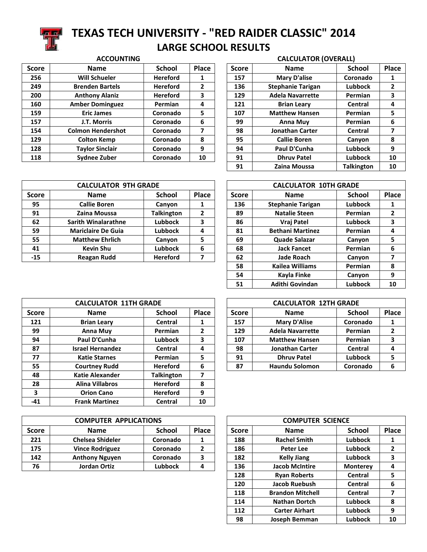

## **TEXAS TECH UNIVERSITY - "RED RAIDER CLASSIC" 2014 LARGE SCHOOL RESULTS**

### **ACCOUNTING CALCULATOR (OVERALL)**

| <b>Score</b> | <b>Name</b>              | <b>School</b>   | Place | <b>Score</b> | <b>Name</b>              | <b>School</b>  | Place |
|--------------|--------------------------|-----------------|-------|--------------|--------------------------|----------------|-------|
| 256          | <b>Will Schueler</b>     | <b>Hereford</b> | 1     | 157          | <b>Mary D'alise</b>      | Coronado       |       |
| 249          | <b>Brenden Bartels</b>   | <b>Hereford</b> | 2     | 136          | <b>Stephanie Tarigan</b> | <b>Lubbock</b> |       |
| 200          | <b>Anthony Alaniz</b>    | <b>Hereford</b> | 3     | 129          | <b>Adela Navarrette</b>  | <b>Permian</b> |       |
| 160          | <b>Amber Dominguez</b>   | <b>Permian</b>  | 4     | 121          | <b>Brian Leary</b>       | Central        | 4     |
| 159          | <b>Eric James</b>        | Coronado        | 5     | 107          | <b>Matthew Hansen</b>    | Permian        | 5     |
| 157          | J.T. Morris              | Coronado        | 6     | 99           | Anna Muy                 | Permian        | 6     |
| 154          | <b>Colmon Hendershot</b> | Coronado        | 7     | 98           | <b>Jonathan Carter</b>   | Central        |       |
| 129          | <b>Colton Kemp</b>       | Coronado        | 8     | 95           | <b>Callie Boren</b>      | Canyon         | 8     |
| 128          | <b>Taylor Sinclair</b>   | Coronado        | 9     | 94           | Paul D'Cunha             | <b>Lubbock</b> | 9     |
| 118          | Sydnee Zuber             | Coronado        | 10    | 91           | <b>Dhruy Patel</b>       | <b>Lubbock</b> | 10    |
|              |                          |                 |       |              |                          |                |       |

| <b>Score</b> | <b>Name</b>              | <b>School</b>     | Place          |
|--------------|--------------------------|-------------------|----------------|
| 157          | <b>Mary D'alise</b>      | Coronado          | 1              |
| 136          | <b>Stephanie Tarigan</b> | <b>Lubbock</b>    | $\overline{2}$ |
| 129          | <b>Adela Navarrette</b>  | Permian           | 3              |
| 121          | <b>Brian Leary</b>       | Central           | 4              |
| 107          | <b>Matthew Hansen</b>    | Permian           | 5              |
| 99           | <b>Anna Muy</b>          | Permian           | 6              |
| 98           | <b>Jonathan Carter</b>   | Central           | 7              |
| 95           | <b>Callie Boren</b>      | Canyon            | 8              |
| 94           | Paul D'Cunha             | <b>Lubbock</b>    | 9              |
| 91           | <b>Dhruy Patel</b>       | <b>Lubbock</b>    | 10             |
| 91           | Zaina Moussa             | <b>Talkington</b> | 10             |

|              | <b>CALCULATOR 9TH GRADE</b> |                   |              |             | <b>CALCULATOR 10TH GRADE</b> |                |  |
|--------------|-----------------------------|-------------------|--------------|-------------|------------------------------|----------------|--|
| <b>Score</b> | <b>Name</b>                 | <b>School</b>     | <b>Score</b> | <b>Name</b> | <b>School</b>                | Place          |  |
| 95           | <b>Callie Boren</b>         | Canyon            |              | 136         | <b>Stephanie Tarigan</b>     | <b>Lubbock</b> |  |
| 91           | Zaina Moussa                | <b>Talkington</b> | 2            | 89          | <b>Natalie Steen</b>         | Permian        |  |
| 62           | <b>Sarith Winalarathne</b>  | <b>Lubbock</b>    | 3            | 86          | Vraj Patel                   | <b>Lubbock</b> |  |
| 59           | <b>Mariclaire De Guia</b>   | <b>Lubbock</b>    | 4            | 81          | <b>Bethani Martinez</b>      | Permian        |  |
| 55           | <b>Matthew Ehrlich</b>      | Canyon            | 5            | 69          | Quade Salazar                | Canyon         |  |
| 41           | <b>Kevin Shu</b>            | <b>Lubbock</b>    | 6            | 68          | <b>Jack Fancet</b>           | Permian        |  |
| $-15$        | <b>Reagan Rudd</b>          | <b>Hereford</b>   |              | 62          | <b>Jade Roach</b>            | Canyon         |  |
|              |                             |                   |              |             |                              |                |  |

| <b>CALCULATOR 10TH GRADE</b> |                          |                |              |  |  |  |  |  |
|------------------------------|--------------------------|----------------|--------------|--|--|--|--|--|
| <b>Score</b>                 | <b>Name</b>              | <b>School</b>  | <b>Place</b> |  |  |  |  |  |
| 136                          | <b>Stephanie Tarigan</b> | <b>Lubbock</b> | 1            |  |  |  |  |  |
| 89                           | <b>Natalie Steen</b>     | Permian        | $\mathbf{2}$ |  |  |  |  |  |
| 86                           | Vraj Patel               | <b>Lubbock</b> | 3            |  |  |  |  |  |
| 81                           | <b>Bethani Martinez</b>  | Permian        | 4            |  |  |  |  |  |
| 69                           | Quade Salazar            | Canyon         | 5            |  |  |  |  |  |
| 68                           | <b>Jack Fancet</b>       | Permian        | 6            |  |  |  |  |  |
| 62                           | <b>Jade Roach</b>        | Canyon         | 7            |  |  |  |  |  |
| 58                           | <b>Kailea Williams</b>   | Permian        | 8            |  |  |  |  |  |
| 54                           | Kayla Finke              | Canyon         | 9            |  |  |  |  |  |
| 51                           | Adithi Govindan          | <b>Lubbock</b> | 10           |  |  |  |  |  |

|              | <b>CALCULATOR 11TH GRADE</b> |                   |                | <b>CALCULATOR 12TH GRADE</b> |                         |                |       |  |
|--------------|------------------------------|-------------------|----------------|------------------------------|-------------------------|----------------|-------|--|
| <b>Score</b> | <b>Name</b>                  | <b>School</b>     | Place          | <b>Score</b>                 | Name                    | <b>School</b>  | Place |  |
| 121          | <b>Brian Leary</b>           | Central           | 1              | 157                          | <b>Mary D'Alise</b>     | Coronado       |       |  |
| 99           | <b>Anna Muy</b>              | Permian           | $\overline{2}$ | 129                          | <b>Adela Navarrette</b> | Permian        | 2     |  |
| 94           | Paul D'Cunha                 | <b>Lubbock</b>    | 3              | 107                          | <b>Matthew Hansen</b>   | Permian        | 3     |  |
| 87           | <b>Israel Hernandez</b>      | Central           | 4              | 98                           | <b>Jonathan Carter</b>  | Central        | 4     |  |
| 77           | <b>Katie Starnes</b>         | Permian           | 5              | 91                           | <b>Dhruy Patel</b>      | <b>Lubbock</b> | 5     |  |
| 55           | <b>Courtney Rudd</b>         | <b>Hereford</b>   | 6              | 87                           | <b>Haundu Solomon</b>   | Coronado       | 6     |  |
| 48           | <b>Katie Alexander</b>       | <b>Talkington</b> | 7              |                              |                         |                |       |  |
| 28           | <b>Alina Villabros</b>       | <b>Hereford</b>   | 8              |                              |                         |                |       |  |
| 3            | <b>Orion Cano</b>            | <b>Hereford</b>   | 9              |                              |                         |                |       |  |
| -41          | <b>Frank Martinez</b>        | <b>Central</b>    | 10             |                              |                         |                |       |  |

|              | <b>COMPUTER APPLICATIONS</b> |               | <b>COMPUTER SCIENCE</b> |       |                       |                 |              |
|--------------|------------------------------|---------------|-------------------------|-------|-----------------------|-----------------|--------------|
| <b>Score</b> | <b>Name</b>                  | <b>School</b> | <b>Place</b>            | Score | <b>Name</b>           | <b>School</b>   | <b>Place</b> |
| 221          | <b>Chelsea Shideler</b>      | Coronado      |                         | 188   | <b>Rachel Smith</b>   | <b>Lubbock</b>  |              |
| 175          | <b>Vince Rodriguez</b>       | Coronado      |                         | 186   | Peter Lee             | <b>Lubbock</b>  |              |
| 142          | <b>Anthony Nguyen</b>        | Coronado      |                         | 182   | <b>Kelly Jiang</b>    | <b>Lubbock</b>  |              |
| 76           | Jordan Ortiz                 | Lubbock       | 4                       | 136   | <b>Jacob McIntire</b> | <b>Monterey</b> |              |

| <b>CALCULATOR 12TH GRADE</b> |                         |                |       |  |  |  |  |  |
|------------------------------|-------------------------|----------------|-------|--|--|--|--|--|
| <b>Score</b>                 | <b>Name</b>             | <b>School</b>  | Place |  |  |  |  |  |
| 157                          | <b>Mary D'Alise</b>     | Coronado       |       |  |  |  |  |  |
| 129                          | <b>Adela Navarrette</b> | Permian        | 2     |  |  |  |  |  |
| 107                          | <b>Matthew Hansen</b>   | Permian        | 3     |  |  |  |  |  |
| 98                           | <b>Jonathan Carter</b>  | <b>Central</b> |       |  |  |  |  |  |
| 91                           | <b>Dhruv Patel</b>      | Lubbock        | 5     |  |  |  |  |  |
| 87                           | <b>Haundu Solomon</b>   | Coronado       |       |  |  |  |  |  |

|              | <b>COMPUTER SCIENCE</b> |                 |              |  |  |  |  |  |  |
|--------------|-------------------------|-----------------|--------------|--|--|--|--|--|--|
| <b>Score</b> | <b>Name</b>             | <b>School</b>   | <b>Place</b> |  |  |  |  |  |  |
| 188          | <b>Rachel Smith</b>     | <b>Lubbock</b>  | 1            |  |  |  |  |  |  |
| 186          | Peter Lee               | Lubbock         | $\mathbf{2}$ |  |  |  |  |  |  |
| 182          | <b>Kelly Jiang</b>      | <b>Lubbock</b>  | 3            |  |  |  |  |  |  |
| 136          | <b>Jacob McIntire</b>   | <b>Monterey</b> | 4            |  |  |  |  |  |  |
| 128          | <b>Ryan Roberts</b>     | Central         | 5            |  |  |  |  |  |  |
| 120          | Jacob Ruebush           | Central         | 6            |  |  |  |  |  |  |
| 118          | <b>Brandon Mitchell</b> | <b>Central</b>  | 7            |  |  |  |  |  |  |
| 114          | <b>Nathan Dortch</b>    | <b>Lubbock</b>  | 8            |  |  |  |  |  |  |
| 112          | <b>Carter Airhart</b>   | <b>Lubbock</b>  | 9            |  |  |  |  |  |  |
| 98           | Joseph Bemman           | <b>Lubbock</b>  | 10           |  |  |  |  |  |  |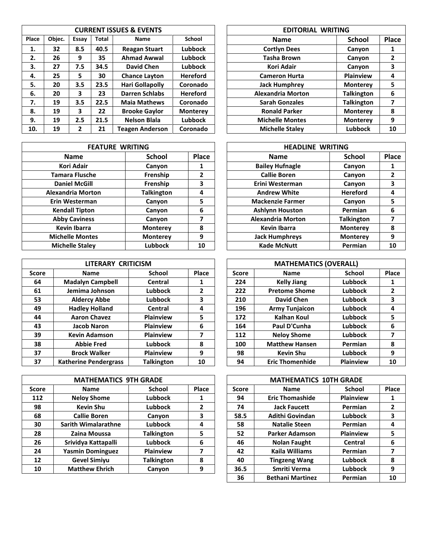|       | <b>CURRENT ISSUES &amp; EVENTS</b> |       |       |                        |                 |  | <b>EDITORIAL WRITING</b> |                   |       |
|-------|------------------------------------|-------|-------|------------------------|-----------------|--|--------------------------|-------------------|-------|
| Place | Objec.                             | Essay | Total | <b>Name</b>            | <b>School</b>   |  | <b>Name</b>              | <b>School</b>     | Place |
| 1.    | 32                                 | 8.5   | 40.5  | <b>Reagan Stuart</b>   | Lubbock         |  | <b>Cortlyn Dees</b>      | Canyon            |       |
| 2.    | 26                                 | 9     | 35    | <b>Ahmad Awwal</b>     | <b>Lubbock</b>  |  | <b>Tasha Brown</b>       | Canyon            | 2     |
| 3.    | 27                                 | 7.5   | 34.5  | David Chen             | Lubbock         |  | <b>Kori Adair</b>        | Canyon            | 3     |
| 4.    | 25                                 | 5     | 30    | <b>Chance Layton</b>   | <b>Hereford</b> |  | <b>Cameron Hurta</b>     | <b>Plainview</b>  | 4     |
| 5.    | 20                                 | 3.5   | 23.5  | Hari Gollapolly        | Coronado        |  | <b>Jack Humphrey</b>     | <b>Monterey</b>   | 5     |
| 6.    | 20                                 | 3     | 23    | <b>Darren Schlabs</b>  | <b>Hereford</b> |  | <b>Alexandria Morton</b> | Talkington        | 6     |
| 7.    | 19                                 | 3.5   | 22.5  | <b>Maia Mathews</b>    | Coronado        |  | <b>Sarah Gonzales</b>    | <b>Talkington</b> | 7     |
| 8.    | 19                                 | 3     | 22    | <b>Brooke Gaylor</b>   | <b>Monterey</b> |  | <b>Ronald Parker</b>     | <b>Monterey</b>   | 8     |
| 9.    | 19                                 | 2.5   | 21.5  | <b>Nelson Blala</b>    | <b>Lubbock</b>  |  | <b>Michelle Montes</b>   | <b>Monterey</b>   | 9     |
| 10.   | 19                                 | 2     | 21    | <b>Teagen Anderson</b> | Coronado        |  | <b>Michelle Staley</b>   | Lubbock           | 10    |

| <b>FEATURE WRITING</b>   |                   |       | <b>HEADLINE WRITING</b>  |                   |     |
|--------------------------|-------------------|-------|--------------------------|-------------------|-----|
| <b>Name</b>              | <b>School</b>     | Place | Name                     | <b>School</b>     | Pla |
| <b>Kori Adair</b>        | Canyon            |       | <b>Bailey Hufnagle</b>   | Canyon            |     |
| <b>Tamara Flusche</b>    | Frenship          | 2     | <b>Callie Boren</b>      | Canyon            | 2   |
| <b>Daniel McGill</b>     | Frenship          | 3     | Erini Westerman          | Canyon            |     |
| <b>Alexandria Morton</b> | <b>Talkington</b> | 4     | <b>Andrew White</b>      | <b>Hereford</b>   | 4   |
| Erin Westerman           | Canyon            | 5     | <b>Mackenzie Farmer</b>  | Canyon            |     |
| <b>Kendall Tipton</b>    | Canyon            | 6     | <b>Ashlynn Houston</b>   | Permian           | 6   |
| <b>Abby Caviness</b>     | Canyon            | 7     | <b>Alexandria Morton</b> | <b>Talkington</b> |     |
| <b>Kevin Ibarra</b>      | <b>Monterey</b>   | 8     | <b>Kevin Ibarra</b>      | <b>Monterey</b>   | 8   |
| <b>Michelle Montes</b>   | <b>Monterey</b>   | 9     | <b>Jack Humphreys</b>    | <b>Monterey</b>   | 9   |
| <b>Michelle Staley</b>   | <b>Lubbock</b>    | 10    | <b>Kade McNutt</b>       | Permian           | 10  |

|              | LITERARY CRITICISM           |                   |              |              | <b>MATHEMATICS (OVERALL)</b> |                  |              |
|--------------|------------------------------|-------------------|--------------|--------------|------------------------------|------------------|--------------|
| <b>Score</b> | <b>Name</b>                  | School            | <b>Place</b> | <b>Score</b> | <b>Name</b>                  | School           | Place        |
| 64           | <b>Madalyn Campbell</b>      | Central           | 1            | 224          | <b>Kelly Jiang</b>           | Lubbock          |              |
| 61           | Jemima Johnson               | Lubbock           | 2            | 222          | <b>Pretome Shome</b>         | Lubbock          | $\mathbf{2}$ |
| 53           | <b>Aldercy Abbe</b>          | Lubbock           | 3            | 210          | David Chen                   | Lubbock          | 3            |
| 49           | <b>Hadley Holland</b>        | Central           | 4            | 196          | <b>Army Tunjaicon</b>        | Lubbock          | 4            |
| 44           | <b>Aaron Chavez</b>          | <b>Plainview</b>  | 5            | 172          | Kalhan Koul                  | Lubbock          | 5            |
| 43           | <b>Jacob Naron</b>           | <b>Plainview</b>  | 6            | 164          | Paul D'Cunha                 | Lubbock          | 6            |
| 39           | <b>Kevin Adamson</b>         | <b>Plainview</b>  |              | 112          | <b>Neloy Shome</b>           | Lubbock          |              |
| 38           | <b>Abbie Fred</b>            | <b>Lubbock</b>    | 8            | 100          | <b>Matthew Hansen</b>        | Permian          | 8            |
| 37           | <b>Brock Walker</b>          | <b>Plainview</b>  | 9            | 98           | <b>Kevin Shu</b>             | Lubbock          | 9            |
| 37           | <b>Katherine Pendergrass</b> | <b>Talkington</b> | 10           | 94           | <b>Eric Thomenhide</b>       | <b>Plainview</b> | 10           |

|              | <b>MATHEMATICS 9TH GRADE</b> |                   |              |              | <b>MATHEMATICS 10TH GRADE</b> |                  |       |
|--------------|------------------------------|-------------------|--------------|--------------|-------------------------------|------------------|-------|
| <b>Score</b> | <b>Name</b>                  | <b>School</b>     | <b>Place</b> | <b>Score</b> | <b>Name</b>                   | <b>School</b>    | Place |
| 112          | <b>Neloy Shome</b>           | Lubbock           |              | 94           | <b>Eric Thomashide</b>        | <b>Plainview</b> |       |
| 98           | <b>Kevin Shu</b>             | Lubbock           | 2            | 74           | <b>Jack Faucett</b>           | Permian          |       |
| 68           | <b>Callie Boren</b>          | Canyon            | 3            | 58.5         | <b>Adithi Govindan</b>        | <b>Lubbock</b>   | 3     |
| 30           | <b>Sarith Wimalarathne</b>   | Lubbock           | 4            | 58           | <b>Natalie Steen</b>          | Permian          | 4     |
| 28           | Zaina Moussa                 | <b>Talkington</b> | 5            | 52           | <b>Parker Adamson</b>         | <b>Plainview</b> | 5     |
| 26           | Srividya Kattapalli          | Lubbock           | 6            | 46           | <b>Nolan Faught</b>           | Central          | 6     |
| 24           | <b>Yasmin Dominguez</b>      | <b>Plainview</b>  |              | 42           | Kaila Williams                | Permian          |       |
| 12           | <b>Gevel Simiyu</b>          | <b>Talkington</b> | 8            | 40           | <b>Tingzeng Wang</b>          | <b>Lubbock</b>   | 8     |
| 10           | <b>Matthew Ehrich</b>        | Canyon            | 9            | 36.5         | Smriti Verma                  | <b>Lubbock</b>   | 9     |

| <b>EDITORIAL WRITING</b> |                   |              |  |  |  |  |
|--------------------------|-------------------|--------------|--|--|--|--|
| <b>Name</b>              | <b>School</b>     | Place        |  |  |  |  |
| <b>Cortlyn Dees</b>      | Canyon            | 1            |  |  |  |  |
| <b>Tasha Brown</b>       | Canyon            | $\mathbf{2}$ |  |  |  |  |
| Kori Adair               | Canyon            | 3            |  |  |  |  |
| <b>Cameron Hurta</b>     | <b>Plainview</b>  | 4            |  |  |  |  |
| <b>Jack Humphrey</b>     | <b>Monterey</b>   | 5            |  |  |  |  |
| <b>Alexandria Morton</b> | <b>Talkington</b> | 6            |  |  |  |  |
| <b>Sarah Gonzales</b>    | <b>Talkington</b> | 7            |  |  |  |  |
| <b>Ronald Parker</b>     | <b>Monterey</b>   | 8            |  |  |  |  |
| <b>Michelle Montes</b>   | <b>Monterey</b>   | 9            |  |  |  |  |
| <b>Michelle Stalev</b>   | <b>Lubbock</b>    | 10           |  |  |  |  |

| <b>FEATURE WRITING</b> |                   |       | <b>HEADLINE WRITING</b>  |                   |       |
|------------------------|-------------------|-------|--------------------------|-------------------|-------|
| <b>Name</b>            | <b>School</b>     | Place | <b>Name</b>              | <b>School</b>     | Place |
| <b>Kori Adair</b>      | Canyon            | 1     | <b>Bailey Hufnagle</b>   | Canyon            | 1     |
| <b>Tamara Flusche</b>  | Frenship          | 2     | <b>Callie Boren</b>      | Canyon            | 2     |
| <b>Daniel McGill</b>   | Frenship          | 3     | Erini Westerman          | Canyon            | 3     |
| lexandria Morton       | <b>Talkington</b> | 4     | <b>Andrew White</b>      | <b>Hereford</b>   | 4     |
| Erin Westerman         | Canyon            | 5     | <b>Mackenzie Farmer</b>  | Canyon            | 5     |
| <b>Kendall Tipton</b>  | Canyon            | 6     | <b>Ashlynn Houston</b>   | Permian           | 6     |
| <b>Abby Caviness</b>   | Canyon            | 7     | <b>Alexandria Morton</b> | <b>Talkington</b> | 7     |
| <b>Kevin Ibarra</b>    | <b>Monterey</b>   | 8     | Kevin Ibarra             | <b>Monterey</b>   | 8     |
| <b>Michelle Montes</b> | <b>Monterey</b>   | 9     | <b>Jack Humphreys</b>    | <b>Monterey</b>   | 9     |
| <b>Michelle Staley</b> | <b>Lubbock</b>    | 10    | <b>Kade McNutt</b>       | Permian           | 10    |

| LITERARY CRITICISM |                   |                | <b>MATHEMATICS (OVERALL)</b> |                        |                |                |  |
|--------------------|-------------------|----------------|------------------------------|------------------------|----------------|----------------|--|
| lame               | School            | Place          | <b>Score</b>                 | <b>Name</b>            | <b>School</b>  | Place          |  |
| n Campbell         | Central           | 1              | 224                          | <b>Kelly Jiang</b>     | <b>Lubbock</b> | 1              |  |
| a Johnson          | <b>Lubbock</b>    | $\overline{2}$ | 222                          | <b>Pretome Shome</b>   | <b>Lubbock</b> | $\overline{2}$ |  |
| rcy Abbe           | <b>Lubbock</b>    | 3              | 210                          | <b>David Chen</b>      | <b>Lubbock</b> | 3              |  |
| y Holland          | Central           | 4              | 196                          | <b>Army Tunjaicon</b>  | <b>Lubbock</b> | 4              |  |
| n Chavez           | <b>Plainview</b>  | 5              | 172                          | <b>Kalhan Koul</b>     | <b>Lubbock</b> | 5              |  |
| <b>b</b> Naron     | <b>Plainview</b>  | 6              | 164                          | <b>Paul D'Cunha</b>    | <b>Lubbock</b> | 6              |  |
| Adamson            | <b>Plainview</b>  | 7              | 112                          | <b>Neloy Shome</b>     | <b>Lubbock</b> | 7              |  |
| vie Fred           | <b>Lubbock</b>    | 8              | 100                          | <b>Matthew Hansen</b>  | Permian        | 8              |  |
| k Walker           | <b>Plainview</b>  | 9              | 98                           | <b>Kevin Shu</b>       | Lubbock        | 9              |  |
| <b>Pendergrass</b> | <b>Talkington</b> | 10             | 94                           | <b>Eric Thomenhide</b> | Plainview      | 10             |  |

| <b>MATHEMATICS 10TH GRADE</b> |                         |                  |              |  |  |  |  |
|-------------------------------|-------------------------|------------------|--------------|--|--|--|--|
| <b>Score</b>                  | <b>Name</b>             | <b>School</b>    | Place        |  |  |  |  |
| 94                            | <b>Eric Thomashide</b>  | <b>Plainview</b> | 1            |  |  |  |  |
| 74                            | <b>Jack Faucett</b>     | Permian          | $\mathbf{2}$ |  |  |  |  |
| 58.5                          | Adithi Govindan         | <b>Lubbock</b>   | 3            |  |  |  |  |
| 58                            | <b>Natalie Steen</b>    | Permian          | 4            |  |  |  |  |
| 52                            | <b>Parker Adamson</b>   | <b>Plainview</b> | 5            |  |  |  |  |
| 46                            | <b>Nolan Faught</b>     | Central          | 6            |  |  |  |  |
| 42                            | Kaila Williams          | Permian          | 7            |  |  |  |  |
| 40                            | <b>Tingzeng Wang</b>    | <b>Lubbock</b>   | 8            |  |  |  |  |
| 36.5                          | Smriti Verma            | <b>Lubbock</b>   | 9            |  |  |  |  |
| 36                            | <b>Bethani Martinez</b> | Permian          | 10           |  |  |  |  |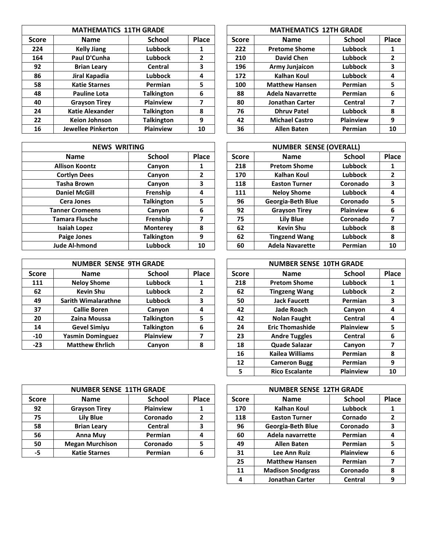|              | <b>MATHEMATICS 11TH GRADE</b> |                   |       |              | <b>MATHEMATICS 12TH GRADE</b> |               |       |
|--------------|-------------------------------|-------------------|-------|--------------|-------------------------------|---------------|-------|
| <b>Score</b> | Name                          | <b>School</b>     | Place | <b>Score</b> | <b>Name</b>                   | <b>School</b> | Place |
| 224          | <b>Kelly Jiang</b>            | Lubbock           |       | 222          | <b>Pretome Shome</b>          | Lubbock       |       |
| 164          | Paul D'Cunha                  | Lubbock           | 2     | 210          | <b>David Chen</b>             | Lubbock       | 2     |
| 92           | <b>Brian Leary</b>            | Central           | 3     | 196          | <b>Army Junjaicon</b>         | Lubbock       | 3     |
| 86           | Jiral Kapadia                 | Lubbock           | 4     | 172          | Kalhan Koul                   | Lubbock       | 4     |
| 58           | <b>Katie Starnes</b>          | Permian           | 5     | 100          | <b>Matthew Hansen</b>         | Permian       | 5     |
| 48           | <b>Pauline Lota</b>           | <b>Talkington</b> | 6     | 88           | <b>Adela Navarrette</b>       | Permian       | 6     |
| 40           | <b>Grayson Tirey</b>          | <b>Plainview</b>  | 7     | 80           | <b>Jonathan Carter</b>        | Central       | 7     |
| 24           | <b>Katie Alexander</b>        | <b>Talkington</b> | 8     | 76           | <b>Dhruy Patel</b>            | Lubbock       | 8     |
| 22           | <b>Keion Johnson</b>          | <b>Talkington</b> | 9     | 42           | <b>Michael Castro</b>         | Plainview     | 9     |
| 16           | <b>Jewellee Pinkerton</b>     | <b>Plainview</b>  | 10    | 36           | <b>Allen Baten</b>            | Permian       | 10    |

| <b>NEWS WRITING</b>    |                   |              |  |  |  |  |
|------------------------|-------------------|--------------|--|--|--|--|
| <b>Name</b>            | <b>School</b>     | <b>Place</b> |  |  |  |  |
| <b>Allison Koontz</b>  | Canyon            | 1            |  |  |  |  |
| <b>Cortlyn Dees</b>    | Canyon            | 2            |  |  |  |  |
| <b>Tasha Brown</b>     | Canyon            | 3            |  |  |  |  |
| <b>Daniel McGill</b>   | Frenship          | 4            |  |  |  |  |
| <b>Cera Jones</b>      | <b>Talkington</b> | 5            |  |  |  |  |
| <b>Tanner Cromeens</b> | Canyon            | 6            |  |  |  |  |
| <b>Tamara Flusche</b>  | Frenship          | 7            |  |  |  |  |
| <b>Isaiah Lopez</b>    | <b>Monterey</b>   | 8            |  |  |  |  |
| <b>Paige Jones</b>     | <b>Talkington</b> | 9            |  |  |  |  |
| <b>Jude Al-hmond</b>   | <b>Lubbock</b>    | 10           |  |  |  |  |

|              | <b>NUMBER SENSE 9TH GRADE</b> |                   |       |              | <b>NUMBER SENSE 10TH GRADE</b> |                  |       |
|--------------|-------------------------------|-------------------|-------|--------------|--------------------------------|------------------|-------|
| <b>Score</b> | <b>Name</b>                   | <b>School</b>     | Place | <b>Score</b> | <b>Name</b>                    | <b>School</b>    | Place |
| 111          | <b>Neloy Shome</b>            | Lubbock           | Ŧ.    | 218          | <b>Pretom Shome</b>            | <b>Lubbock</b>   |       |
| 62           | <b>Kevin Shu</b>              | Lubbock           |       | 62           | <b>Tingzeng Wang</b>           | <b>Lubbock</b>   |       |
| 49           | <b>Sarith Wimalarathne</b>    | Lubbock           | 3     | 50           | <b>Jack Faucett</b>            | Permian          |       |
| 37           | <b>Callie Boren</b>           | Canyon            | 4     | 42           | <b>Jade Roach</b>              | Canyon           | 4     |
| 20           | Zaina Moussa                  | <b>Talkington</b> | 5     | 42           | <b>Nolan Faught</b>            | Central          |       |
| 14           | <b>Gevel Simiyu</b>           | <b>Talkington</b> | 6     | 24           | <b>Eric Thomashide</b>         | <b>Plainview</b> |       |
| $-10$        | <b>Yasmin Dominguez</b>       | <b>Plainview</b>  |       | 23           | <b>Andre Tuggles</b>           | <b>Central</b>   | 6     |
| -23          | <b>Matthew Ehrlich</b>        | Canyon            | 8     | 18           | Quade Salazar                  | Canyon           |       |
|              |                               |                   |       |              |                                |                  |       |

| <b>MATHEMATICS 12TH GRADE</b> |                         |                  |       |  |  |  |  |
|-------------------------------|-------------------------|------------------|-------|--|--|--|--|
| <b>Score</b>                  | <b>Name</b>             | <b>School</b>    | Place |  |  |  |  |
| 222                           | <b>Pretome Shome</b>    | <b>Lubbock</b>   | 1     |  |  |  |  |
| 210                           | <b>David Chen</b>       | <b>Lubbock</b>   | 2     |  |  |  |  |
| 196                           | <b>Army Junjaicon</b>   | <b>Lubbock</b>   | 3     |  |  |  |  |
| 172                           | <b>Kalhan Koul</b>      | <b>Lubbock</b>   | 4     |  |  |  |  |
| 100                           | <b>Matthew Hansen</b>   | Permian          | 5     |  |  |  |  |
| 88                            | <b>Adela Navarrette</b> | Permian          | 6     |  |  |  |  |
| 80                            | <b>Jonathan Carter</b>  | Central          | 7     |  |  |  |  |
| 76                            | <b>Dhruy Patel</b>      | <b>Lubbock</b>   | 8     |  |  |  |  |
| 42                            | <b>Michael Castro</b>   | <b>Plainview</b> | 9     |  |  |  |  |
| 36                            | <b>Allen Baten</b>      | Permian          | 10    |  |  |  |  |

| <b>NEWS WRITING</b>    |                   |       |              | <b>NUMBER SENSE (OVERALL)</b> |               |                |
|------------------------|-------------------|-------|--------------|-------------------------------|---------------|----------------|
| <b>Name</b>            | <b>School</b>     | Place | <b>Score</b> | <b>Name</b>                   | <b>School</b> | Place          |
| <b>Allison Koontz</b>  | Canyon            | 1     | 218          | <b>Pretom Shome</b>           | Lubbock       | 1              |
| <b>Cortlyn Dees</b>    | Canyon            | 2     | 170          | Kalhan Koul                   | Lubbock       | $\overline{2}$ |
| Tasha Brown            | Canyon            | 3     | 118          | <b>Easton Turner</b>          | Coronado      | 3              |
| <b>Daniel McGill</b>   | Frenship          | 4     | 111          | <b>Neloy Shome</b>            | Lubbock       | 4              |
| <b>Cera Jones</b>      | <b>Talkington</b> | 5     | 96           | Georgia-Beth Blue             | Coronado      | 5              |
| <b>Tanner Cromeens</b> | Canyon            | 6     | 92           | <b>Grayson Tirey</b>          | Plainview     | 6              |
| <b>Tamara Flusche</b>  | Frenship          | 7     | 75           | Lily Blue                     | Coronado      | 7              |
| <b>Isaiah Lopez</b>    | <b>Monterey</b>   | 8     | 62           | <b>Kevin Shu</b>              | Lubbock       | 8              |
| <b>Paige Jones</b>     | <b>Talkington</b> | 9     | 62           | <b>Tingzend Wang</b>          | Lubbock       | 8              |
| <b>Jude Al-hmond</b>   | <b>Lubbock</b>    | 10    | 60           | <b>Adela Navarette</b>        | Permian       | 10             |

| <b>NUMBER SENSE 10TH GRADE</b> |                        |                  |              |  |  |  |  |
|--------------------------------|------------------------|------------------|--------------|--|--|--|--|
| <b>Score</b>                   | <b>Name</b>            | <b>School</b>    | Place        |  |  |  |  |
| 218                            | <b>Pretom Shome</b>    | Lubbock          | 1            |  |  |  |  |
| 62                             | <b>Tingzeng Wang</b>   | <b>Lubbock</b>   | $\mathbf{2}$ |  |  |  |  |
| 50                             | <b>Jack Faucett</b>    | Permian          | 3            |  |  |  |  |
| 42                             | <b>Jade Roach</b>      | Canyon           | 4            |  |  |  |  |
| 42                             | <b>Nolan Faught</b>    | Central          | 4            |  |  |  |  |
| 24                             | <b>Eric Thomashide</b> | <b>Plainview</b> | 5            |  |  |  |  |
| 23                             | <b>Andre Tuggles</b>   | Central          | 6            |  |  |  |  |
| 18                             | <b>Quade Salazar</b>   | Canyon           | 7            |  |  |  |  |
| 16                             | <b>Kailea Williams</b> | Permian          | 8            |  |  |  |  |
| 12                             | <b>Cameron Bugg</b>    | Permian          | 9            |  |  |  |  |
| 5                              | <b>Rico Escalante</b>  | <b>Plainview</b> | 10           |  |  |  |  |

|              | <b>NUMBER SENSE 11TH GRADE</b> |                  |              |              | <b>NUMBER SENSE 12TH GRADE</b> |                |       |
|--------------|--------------------------------|------------------|--------------|--------------|--------------------------------|----------------|-------|
| <b>Score</b> | <b>Name</b>                    | <b>School</b>    | <b>Place</b> | <b>Score</b> | <b>Name</b>                    | <b>School</b>  | Place |
| 92           | <b>Grayson Tirey</b>           | <b>Plainview</b> |              | 170          | Kalhan Koul                    | <b>Lubbock</b> |       |
| 75           | <b>Lily Blue</b>               | Coronado         |              | 118          | <b>Easton Turner</b>           | Cornado        |       |
| 58           | <b>Brian Leary</b>             | Central          |              | 96           | Georgia-Beth Blue              | Coronado       |       |
| 56           | Anna Muy                       | Permian          |              | 60           | Adela navarrette               | Permian        |       |
| 50           | <b>Megan Murchison</b>         | Coronado         |              | 49           | <b>Allen Baten</b>             | Permian        |       |
| -5           | <b>Katie Starnes</b>           | Permian          |              | 31           | <b>Lee Ann Ruiz</b>            | Plainview      |       |

|              | <b>NUMBER SENSE 12TH GRADE</b> |                  |              |  |  |  |  |  |
|--------------|--------------------------------|------------------|--------------|--|--|--|--|--|
| <b>Score</b> | <b>Name</b>                    | <b>School</b>    | Place        |  |  |  |  |  |
| 170          | Kalhan Koul                    | <b>Lubbock</b>   | 1            |  |  |  |  |  |
| 118          | <b>Easton Turner</b>           | Cornado          | $\mathbf{2}$ |  |  |  |  |  |
| 96           | Georgia-Beth Blue              | Coronado         | 3            |  |  |  |  |  |
| 60           | Adela navarrette               | Permian          | 4            |  |  |  |  |  |
| 49           | <b>Allen Baten</b>             | Permian          | 5            |  |  |  |  |  |
| 31           | <b>Lee Ann Ruiz</b>            | <b>Plainview</b> | 6            |  |  |  |  |  |
| 25           | <b>Matthew Hansen</b>          | Permian          | 7            |  |  |  |  |  |
| 11           | <b>Madison Snodgrass</b>       | Coronado         | 8            |  |  |  |  |  |
| 4            | Jonathan Carter                | Central          | q            |  |  |  |  |  |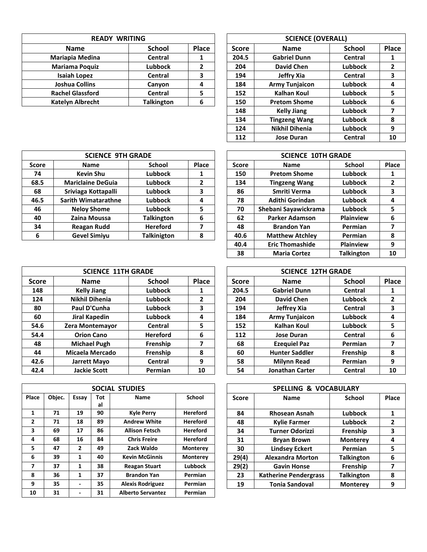| <b>READY WRITING</b>    |                   |       |              | <b>SCIENCE (OVERALL)</b> |    |
|-------------------------|-------------------|-------|--------------|--------------------------|----|
| <b>Name</b>             | <b>School</b>     | Place | <b>Score</b> | <b>Name</b>              |    |
| Mariapia Medina         | Central           |       | 204.5        | <b>Gabriel Dunn</b>      |    |
| <b>Mariama Poquiz</b>   | <b>Lubbock</b>    |       | 204          | <b>David Chen</b>        | Lι |
| <b>Isaiah Lopez</b>     | Central           | 3     | 194          | Jeffry Xia               |    |
| <b>Joshua Collins</b>   | Canyon            |       | 184          | <b>Army Tunjaicon</b>    | Lι |
| <b>Rachel Glassford</b> | Central           |       | 152          | <b>Kalhan Koul</b>       | Lι |
| <b>Katelyn Albrecht</b> | <b>Talkington</b> | 6     | 150          | <b>Pretom Shome</b>      | Lι |

| <b>READY WRITING</b>    |                   |       |              | <b>SCIENCE (OVERALL)</b> |                |              |
|-------------------------|-------------------|-------|--------------|--------------------------|----------------|--------------|
| <b>Name</b>             | <b>School</b>     | Place | <b>Score</b> | <b>Name</b>              | <b>School</b>  | Place        |
| Mariapia Medina         | Central           | 1     | 204.5        | <b>Gabriel Dunn</b>      | Central        | 1            |
| <b>Mariama Poquiz</b>   | <b>Lubbock</b>    | 2     | 204          | <b>David Chen</b>        | <b>Lubbock</b> | $\mathbf{2}$ |
| Isaiah Lopez            | <b>Central</b>    | 3     | 194          | Jeffry Xia               | Central        | 3            |
| <b>Joshua Collins</b>   | Canyon            | 4     | 184          | <b>Army Tunjaicon</b>    | Lubbock        | 4            |
| <b>Rachel Glassford</b> | Central           | 5     | 152          | <b>Kalhan Koul</b>       | Lubbock        | 5            |
| <b>Katelyn Albrecht</b> | <b>Talkington</b> | 6     | 150          | <b>Pretom Shome</b>      | <b>Lubbock</b> | 6            |
|                         |                   |       | 148          | <b>Kelly Jiang</b>       | <b>Lubbock</b> | 7            |
|                         |                   |       | 134          | <b>Tingzeng Wang</b>     | <b>Lubbock</b> | 8            |
|                         |                   |       | 124          | <b>Nikhil Dihenia</b>    | <b>Lubbock</b> | 9            |
|                         |                   |       | 112          | <b>Jose Duran</b>        | Central        | 10           |

|              | <b>SCIENCE 9TH GRADE</b> |                    |       |              | <b>SCIENCE 10TH GRADE</b> |                  |       |
|--------------|--------------------------|--------------------|-------|--------------|---------------------------|------------------|-------|
| <b>Score</b> | <b>Name</b>              | <b>School</b>      | Place | <b>Score</b> | <b>Name</b>               | <b>School</b>    | Place |
| 74           | <b>Kevin Shu</b>         | Lubbock            |       | 150          | <b>Pretom Shome</b>       | <b>Lubbock</b>   |       |
| 68.5         | <b>Mariclaine DeGuia</b> | <b>Lubbock</b>     | 2     | 134          | <b>Tingzeng Wang</b>      | <b>Lubbock</b>   |       |
| 68           | Sriviaga Kottapalli      | Lubbock            | 3     | 86           | Smriti Verma              | <b>Lubbock</b>   |       |
| 46.5         | Sarith Wimatarathne      | Lubbock            | 4     | 78           | Adithi Gorindan           | <b>Lubbock</b>   | 4     |
| 46           | <b>Neloy Shome</b>       | Lubbock            | 5     | 70           | Shebani Sayawickrama      | Lubbock          |       |
| 40           | Zaina Moussa             | <b>Talkington</b>  | 6     | 62           | <b>Parker Adamson</b>     | <b>Plainview</b> | 6     |
| 34           | <b>Reagan Rudd</b>       | <b>Hereford</b>    |       | 48           | <b>Brandon Yan</b>        | Permian          |       |
| 6            | <b>Gevel Simiyu</b>      | <b>Talkinigton</b> | 8     | 40.6         | <b>Matthew Atchley</b>    | Permian          | 8     |
|              |                          |                    |       |              |                           |                  |       |

|              | <b>SCIENCE 10TH GRADE</b> |                   |              |
|--------------|---------------------------|-------------------|--------------|
| <b>Score</b> | <b>Name</b>               | <b>School</b>     | Place        |
| 150          | <b>Pretom Shome</b>       | Lubbock           | 1            |
| 134          | <b>Tingzeng Wang</b>      | Lubbock           | $\mathbf{2}$ |
| 86           | Smriti Verma              | Lubbock           | 3            |
| 78           | <b>Adithi Gorindan</b>    | Lubbock           | 4            |
| 70           | Shebani Sayawickrama      | Lubbock           | 5            |
| 62           | <b>Parker Adamson</b>     | <b>Plainview</b>  | 6            |
| 48           | <b>Brandon Yan</b>        | Permian           | 7            |
| 40.6         | <b>Matthew Atchley</b>    | Permian           | 8            |
| 40.4         | <b>Eric Thomashide</b>    | <b>Plainview</b>  | 9            |
| 38           | <b>Maria Cortez</b>       | <b>Talkington</b> | 10           |

|              | <b>SCIENCE 11TH GRADE</b> |                 |       |              | <b>SCIENCE 12TH GRADE</b> |                        |               |       |  |  |
|--------------|---------------------------|-----------------|-------|--------------|---------------------------|------------------------|---------------|-------|--|--|
| <b>Score</b> | <b>Name</b>               | <b>School</b>   | Place | <b>Score</b> |                           | <b>Name</b>            | <b>School</b> | Place |  |  |
| 148          | <b>Kelly Jiang</b>        | <b>Lubbock</b>  | 1     | 204.5        |                           | <b>Gabriel Dunn</b>    | Central       |       |  |  |
| 124          | <b>Nikhil Dihenia</b>     | Lubbock         | 2     | 204          |                           | <b>David Chen</b>      | Lubbock       | 2     |  |  |
| 80           | Paul D'Cunha              | Lubbock         | 3     | 194          |                           | Jeffrey Xia            | Central       | 3     |  |  |
| 60           | Jiral Kapedin             | Lubbock         | 4     | 184          |                           | <b>Army Tunjaicon</b>  | Lubbock       | 4     |  |  |
| 54.6         | Zera Montemayor           | Central         | 5     | 152          |                           | Kalhan Koul            | Lubbock       | 5     |  |  |
| 54.4         | <b>Orion Cano</b>         | <b>Hereford</b> | 6     | 112          |                           | <b>Jose Duran</b>      | Central       | 6     |  |  |
| 48           | <b>Michael Pugh</b>       | Frenship        |       | 68           |                           | <b>Ezequiel Paz</b>    | Permian       | 7     |  |  |
| 44           | Micaela Mercado           | Frenship        | 8     | 60           |                           | <b>Hunter Saddler</b>  | Frenship      | 8     |  |  |
| 42.6         | Jarrett Mayo              | Central         | 9     | 58           |                           | <b>Milynn Read</b>     | Permian       | 9     |  |  |
| 42.4         | <b>Jackie Scott</b>       | Permian         | 10    | 54           |                           | <b>Jonathan Carter</b> | Central       | 10    |  |  |

|              |        |                          |           | SOCIAL STUDIES           |                 |              | <b>SPELLING &amp; VOCABULARY</b> |                   |     |
|--------------|--------|--------------------------|-----------|--------------------------|-----------------|--------------|----------------------------------|-------------------|-----|
| Place        | Objec. | Essay                    | Tot<br>al | <b>Name</b>              | School          | <b>Score</b> | <b>Name</b>                      | School            | Pla |
| 1            | 71     | 19                       | 90        | <b>Kyle Perry</b>        | <b>Hereford</b> | 84           | <b>Rhosean Asnah</b>             | Lubbock           |     |
| $\mathbf{2}$ | 71     | 18                       | 89        | <b>Andrew White</b>      | <b>Hereford</b> | 48           | <b>Kylie Farmer</b>              | <b>Lubbock</b>    | 2   |
| 3            | 69     | 17                       | 86        | <b>Allison Fetsch</b>    | <b>Hereford</b> | 34           | <b>Turner Odorizzi</b>           | Frenship          |     |
| 4            | 68     | 16                       | 84        | <b>Chris Freire</b>      | <b>Hereford</b> | 31           | <b>Bryan Brown</b>               | <b>Monterey</b>   | 4   |
| 5.           | 47     | $\mathbf{2}$             | 49        | Zack Waldo               | <b>Monterey</b> | 30           | <b>Lindsey Eckert</b>            | Permian           |     |
| 6            | 39     | 1                        | 40        | <b>Kevin McGinnis</b>    | <b>Monterey</b> | 29(4)        | <b>Alexandra Morton</b>          | <b>Talkington</b> | 6   |
| 7            | 37     | 1                        | 38        | <b>Reagan Stuart</b>     | Lubbock         | 29(2)        | <b>Gavin Honse</b>               | Frenship          |     |
| 8            | 36     | 1                        | 37        | <b>Brandon Yan</b>       | <b>Permian</b>  | 23           | <b>Katherine Pendergrass</b>     | <b>Talkington</b> | 8   |
| 9            | 35     | $\overline{\phantom{0}}$ | 35        | <b>Alexis Rodriguez</b>  | <b>Permian</b>  | 19           | <b>Tonia Sandoval</b>            | <b>Monterey</b>   | 9   |
| 10           | 31     |                          | 31        | <b>Alberto Servantez</b> | Permian         |              |                                  |                   |     |

| <b>SCIENCE 12TH GRADE</b> |                        |                |              |  |  |  |  |  |  |  |
|---------------------------|------------------------|----------------|--------------|--|--|--|--|--|--|--|
| <b>Score</b>              | <b>Name</b>            | <b>School</b>  | <b>Place</b> |  |  |  |  |  |  |  |
| 204.5                     | <b>Gabriel Dunn</b>    | Central        | 1            |  |  |  |  |  |  |  |
| 204                       | <b>David Chen</b>      | <b>Lubbock</b> | $\mathbf{2}$ |  |  |  |  |  |  |  |
| 194                       | Jeffrey Xia            | Central        | 3            |  |  |  |  |  |  |  |
| 184                       | <b>Army Tunjaicon</b>  | <b>Lubbock</b> | 4            |  |  |  |  |  |  |  |
| 152                       | <b>Kalhan Koul</b>     | <b>Lubbock</b> | 5            |  |  |  |  |  |  |  |
| 112                       | <b>Jose Duran</b>      | Central        | 6            |  |  |  |  |  |  |  |
| 68                        | <b>Ezeguiel Paz</b>    | Permian        | 7            |  |  |  |  |  |  |  |
| 60                        | <b>Hunter Saddler</b>  | Frenship       | 8            |  |  |  |  |  |  |  |
| 58                        | <b>Milynn Read</b>     | Permian        | 9            |  |  |  |  |  |  |  |
| 54                        | <b>Jonathan Carter</b> | Central        | 10           |  |  |  |  |  |  |  |

|            | SOCIAL STUDIES          |                 | SPELLING & VOCABULARY |                              |                   |       |  |  |  |  |  |  |
|------------|-------------------------|-----------------|-----------------------|------------------------------|-------------------|-------|--|--|--|--|--|--|
| <b>Tot</b> | <b>Name</b>             | School          | <b>Score</b>          | <b>Name</b>                  | <b>School</b>     | Place |  |  |  |  |  |  |
| al         |                         |                 |                       |                              |                   |       |  |  |  |  |  |  |
| 90         | <b>Kyle Perry</b>       | <b>Hereford</b> | 84                    | <b>Rhosean Asnah</b>         | Lubbock           | 1     |  |  |  |  |  |  |
| 89         | <b>Andrew White</b>     | <b>Hereford</b> | 48                    | <b>Kylie Farmer</b>          | Lubbock           | 2     |  |  |  |  |  |  |
| 86         | <b>Allison Fetsch</b>   | <b>Hereford</b> | 34                    | <b>Turner Odorizzi</b>       | Frenship          | 3     |  |  |  |  |  |  |
| 84         | <b>Chris Freire</b>     | <b>Hereford</b> | 31                    | <b>Bryan Brown</b>           | <b>Monterey</b>   | 4     |  |  |  |  |  |  |
| 49         | Zack Waldo              | <b>Monterey</b> | 30                    | <b>Lindsey Eckert</b>        | Permian           | 5     |  |  |  |  |  |  |
| 40         | <b>Kevin McGinnis</b>   | <b>Monterey</b> | 29(4)                 | <b>Alexandra Morton</b>      | <b>Talkington</b> | 6     |  |  |  |  |  |  |
| 38         | <b>Reagan Stuart</b>    | <b>Lubbock</b>  | 29(2)                 | <b>Gavin Honse</b>           | Frenship          | 7     |  |  |  |  |  |  |
| 37         | <b>Brandon Yan</b>      | Permian         | 23                    | <b>Katherine Pendergrass</b> | <b>Talkington</b> | 8     |  |  |  |  |  |  |
| 35         | <b>Alexis Rodriguez</b> | Permian         | 19                    | <b>Tonia Sandoval</b>        | <b>Monterey</b>   | 9     |  |  |  |  |  |  |
|            |                         |                 |                       |                              |                   |       |  |  |  |  |  |  |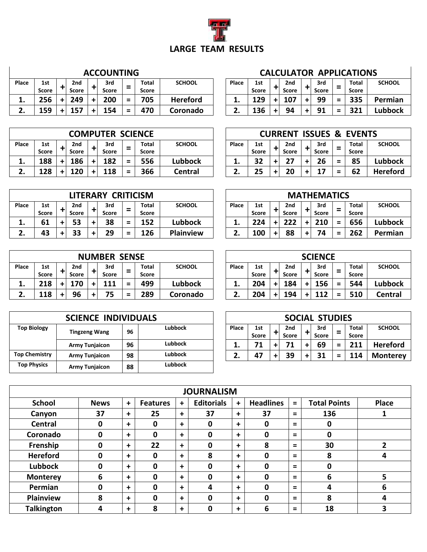

|       |              |                     | <b>ACCOUNTING</b>   |          |                |                 |              |                     |   |                     |   |              |                               | <b>CALCULATOR APPLICATIONS</b> |               |
|-------|--------------|---------------------|---------------------|----------|----------------|-----------------|--------------|---------------------|---|---------------------|---|--------------|-------------------------------|--------------------------------|---------------|
| Place | 1st<br>Score | 2nd<br><b>Score</b> | 3rd<br><b>Score</b> | ⋍        | Total<br>Score | <b>SCHOOL</b>   | <b>Place</b> | 1st<br><b>Score</b> |   | 2nd<br><b>Score</b> |   | 3rd<br>Score | $\overline{\phantom{a}}$<br>- | <b>Total</b><br><b>Score</b>   | <b>SCHOOL</b> |
| ᆂ.    | 256          | 249                 | 200                 | $\equiv$ | 705            | <b>Hereford</b> | -⊢ •         | 129                 |   | 107                 | ٠ | 99           | $\equiv$                      | 335                            | Permian       |
|       | 159          |                     | 154                 | $\equiv$ | 470            | Coronado        | . .          | 136                 | + | 94                  |   | 91           | $\equiv$                      | 321                            | Lubbock       |

|  |  |  |  | CALCULATOR APPLICATIONS |  |  |  |  |  |  |  |
|--|--|--|--|-------------------------|--|--|--|--|--|--|--|
|  |  |  |  |                         |  |  |  |  |  |  |  |

| Place | 1st<br><b>Score</b> | 2nd<br><b>Score</b> | 3rd<br><b>Score</b> | Total<br><b>Score</b> | <b>SCHOOL</b>  |
|-------|---------------------|---------------------|---------------------|-----------------------|----------------|
| 1.    | 129                 | 107                 | 99                  | 335                   | Permian        |
| 2.    | 136                 | 94                  | 91                  | 321                   | <b>Lubbock</b> |

|       |              |                 |    | <b>COMPUTER SCIENCE</b> |          |              |                |       |              |           | <b>CURRENT</b> | <b>ISSUES &amp;</b> |     | <b>EVENTS</b> |                 |
|-------|--------------|-----------------|----|-------------------------|----------|--------------|----------------|-------|--------------|-----------|----------------|---------------------|-----|---------------|-----------------|
| Place | 1st          | 2 <sub>nd</sub> |    | 3rd                     | -        | Total        | <b>SCHOOL</b>  | Place | 1st          |           | 2nd            | 3rd                 |     | <b>Total</b>  | <b>SCHOOL</b>   |
|       | <b>Score</b> | <b>Score</b>    |    | <b>Score</b>            | -        | <b>Score</b> |                |       | <b>Score</b> |           | <b>Score</b>   | Score               |     | <b>Score</b>  |                 |
| ᆠ.    | 188          | 186             | ÷  | 182                     | $\equiv$ | 556          | <b>Lubbock</b> |       | 32           | +         |                | 26                  | $=$ | 85            | Lubbock         |
|       | 128          | 120             | ÷. | 118                     | $\equiv$ | 366          | Central        |       | 25           | $\ddot{}$ | 20             |                     | $=$ | 62            | <b>Hereford</b> |

|       |                     |                                 | LITERARY CRITICISM  |          |                       |                  |       |                     |           |              |        | <b>MATHEMATICS</b> |          |                              |               |
|-------|---------------------|---------------------------------|---------------------|----------|-----------------------|------------------|-------|---------------------|-----------|--------------|--------|--------------------|----------|------------------------------|---------------|
| Place | 1st<br><b>Score</b> | 2 <sub>nd</sub><br><b>Score</b> | 3rd<br><b>Score</b> | =        | <b>Total</b><br>Score | <b>SCHOOL</b>    | Place | 1st<br><b>Score</b> |           | 2nd<br>Score |        | 3rd<br>Score       | =        | <b>Total</b><br><b>Score</b> | <b>SCHOOL</b> |
| ᆂ.    | 61                  | 53                              | 38                  | $\equiv$ | 152                   | <b>Lubbock</b>   | ∸.    | 224                 | $\ddot{}$ |              |        | 210                | $\equiv$ | 656                          | Lubbock       |
|       | 43                  | 33                              | 29                  | $\equiv$ | <b>L26</b>            | <b>Plainview</b> |       | 100                 | $\ddot{}$ | 88           | $\div$ | 74                 | Ξ        | 262                          | Permian       |
|       |                     |                                 |                     |          |                       |                  |       |                     |           |              |        |                    |          |                              |               |

|       |              |              |    | <b>NUMBER SENSE</b> |                          |              |                |       |       |           |       | <b>SCIENCE</b> |     |              |               |
|-------|--------------|--------------|----|---------------------|--------------------------|--------------|----------------|-------|-------|-----------|-------|----------------|-----|--------------|---------------|
| Place | 1st          | 2nd          |    | 3rd                 | $\overline{\phantom{0}}$ | <b>Total</b> | <b>SCHOOL</b>  | Place | 1st   |           | 2nd   | 3rd            | -   | <b>Total</b> | <b>SCHOOL</b> |
|       | <b>Score</b> | <b>Score</b> |    | <b>Score</b>        | -                        | Score        |                |       | Score |           | Score | Score          | -   | <b>Score</b> |               |
| ᅩ.    | 218          | 170          |    | 111                 | $\equiv$                 | 499          | <b>Lubbock</b> | ه بان | 204   | $\ddot{}$ | 184   | 156            | $=$ | 544          | Lubbock       |
|       | 118          | 96           | ÷. | 75                  | $\equiv$                 | 289          | Coronado       |       | 204   | $\ddot{}$ | 194   | 112            | $=$ | 510          | Central       |

|                      | <b>SCIENCE INDIVIDUALS</b> |    |                |       |                     |              | <b>SOCIAL STUDIES</b> |        |                |                 |
|----------------------|----------------------------|----|----------------|-------|---------------------|--------------|-----------------------|--------|----------------|-----------------|
| <b>Top Biology</b>   | <b>Tingzeng Wang</b>       | 96 | <b>Lubbock</b> | Place | 1st<br><b>Score</b> | 2nd<br>Score | 3rd<br><b>Score</b>   | -<br>- | Total<br>Score | <b>SCHOOL</b>   |
|                      | <b>Army Tunjaicon</b>      | 96 | Lubbock        | л.    | - 4                 | 71           | 69                    | =      | 211            | <b>Hereford</b> |
| <b>Top Chemistry</b> | <b>Army Tunjaicon</b>      | 98 | Lubbock        | . .   | 47                  | 39           | 31                    | =      | 114            | <b>Monterey</b> |
| <b>Top Physics</b>   | <b>Army Tunjaicon</b>      | 88 | Lubbock        |       |                     |              |                       |        |                |                 |

|         |       |              |              |              |     | <b>CURRENT ISSUES &amp; EVENTS</b> |                 |
|---------|-------|--------------|--------------|--------------|-----|------------------------------------|-----------------|
| SCHOOL  | Place | 1st          | 2nd          | 3rd          |     | Total                              | <b>SCHOOL</b>   |
|         |       | <b>Score</b> | <b>Score</b> | <b>Score</b> |     | <b>Score</b>                       |                 |
| ubbock  | 1.    | 32           | 27           | 26           | $=$ | 85                                 | Lubbock         |
| Central | 2.    | 25           | 20           | 17           | $=$ | 62                                 | <b>Hereford</b> |
|         |       |              |              |              |     |                                    |                 |

|         |       |              |              | <b>MATHEMATICS</b> |     |              |                |
|---------|-------|--------------|--------------|--------------------|-----|--------------|----------------|
| SCHOOL  | Place | 1st          | 2nd          | 3rd                |     | Total        | <b>SCHOOL</b>  |
|         |       | <b>Score</b> | <b>Score</b> | <b>Score</b>       |     | <b>Score</b> |                |
| ubbock  | 1.    | 224          | 222          | 210                | $=$ | 656          | <b>Lubbock</b> |
| ainview | 2.    | 100          | 88           | 74                 | Ξ   | 262          | Permian        |

|         |       |              |              | <b>SCIENCE</b> |          |              |                |
|---------|-------|--------------|--------------|----------------|----------|--------------|----------------|
| SCHOOL  | Place | 1st          | 2nd          | 3rd            |          | Total        | <b>SCHOOL</b>  |
|         |       | <b>Score</b> | <b>Score</b> | <b>Score</b>   | $\equiv$ | <b>Score</b> |                |
| ubbock  | 1.    | 204          | 184          | 156            | $=$      | 544          | <b>Lubbock</b> |
| oronado | 2.    | 204          | 194          | 112            | $=$      | 510          | <b>Central</b> |

| <b>CIENCE INDIVIDUALS</b> |    |                |              |                     |                     | <b>SOCIAL STUDIES</b> |          |                       |                 |
|---------------------------|----|----------------|--------------|---------------------|---------------------|-----------------------|----------|-----------------------|-----------------|
| <b>Tingzeng Wang</b>      | 96 | <b>Lubbock</b> | <b>Place</b> | 1st<br><b>Score</b> | 2nd<br><b>Score</b> | 3rd<br><b>Score</b>   | -<br>-   | Total<br><b>Score</b> | <b>SCHOOL</b>   |
| Army Tunjaicon            | 96 | <b>Lubbock</b> | ه بان        |                     | 71                  | 69                    | $\equiv$ | 211                   | <b>Hereford</b> |
| Army Tunjaicon            | 98 | <b>Lubbock</b> |              | -47                 | 39                  | 31                    | =        | 114                   | <b>Monterev</b> |

|                   | <b>JOURNALISM</b> |             |                 |             |                   |           |                  |          |                     |              |  |  |  |  |
|-------------------|-------------------|-------------|-----------------|-------------|-------------------|-----------|------------------|----------|---------------------|--------------|--|--|--|--|
| <b>School</b>     | <b>News</b>       | $\ddot{}$   | <b>Features</b> | $\ddot{}$   | <b>Editorials</b> | $\ddot{}$ | <b>Headlines</b> | $=$      | <b>Total Points</b> | <b>Place</b> |  |  |  |  |
| Canyon            | 37                | +           | 25              | $\ddotmark$ | 37                | $\ddot{}$ | 37               | $=$      | 136                 | 1            |  |  |  |  |
| <b>Central</b>    | $\mathbf 0$       | +           | 0               | $\ddot{}$   | 0                 | $\ddot{}$ | 0                | $\equiv$ | 0                   |              |  |  |  |  |
| Coronado          | $\mathbf 0$       | $\ddotmark$ | 0               | $\ddotmark$ | 0                 | $\ddot{}$ | 0                | $\equiv$ | 0                   |              |  |  |  |  |
| Frenship          | 0                 | $\ddot{}$   | 22              | $\ddot{}$   | 0                 | $\ddot{}$ | 8                | $\equiv$ | 30                  | 2            |  |  |  |  |
| <b>Hereford</b>   | $\mathbf 0$       | +           | 0               | $\ddotmark$ | 8                 | $\ddot{}$ | 0                | $\equiv$ | 8                   | 4            |  |  |  |  |
| <b>Lubbock</b>    | $\mathbf{0}$      | $\ddot{}$   | 0               | $\ddotmark$ | 0                 | $\ddot{}$ | 0                | $=$      | 0                   |              |  |  |  |  |
| <b>Monterey</b>   | 6                 | $\ddot{}$   | 0               | $\ddot{}$   | 0                 | $\ddot{}$ | 0                | $\equiv$ | 6                   | 5            |  |  |  |  |
| Permian           | $\mathbf{0}$      | +           | 0               | $\ddot{}$   | 4                 | $\ddot{}$ | 0                | $\equiv$ | 4                   | 6            |  |  |  |  |
| <b>Plainview</b>  | 8                 | $\ddot{}$   | 0               | $\ddot{}$   | $\Omega$          | $\ddot{}$ | 0                | $\equiv$ | 8                   | 4            |  |  |  |  |
| <b>Talkington</b> | 4                 | +           | 8               | $\ddot{}$   | 0                 | $\ddot{}$ | 6                | $\equiv$ | 18                  | 3            |  |  |  |  |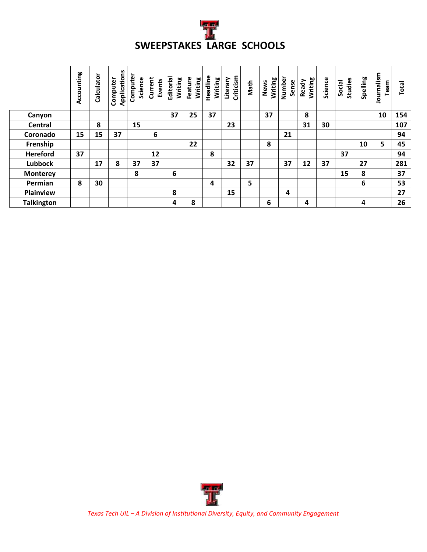

|                   | Accounting | Calculator | Applications<br>Computer | Compute<br>Science | Current<br>Events | Editorial<br>Writing | Feature<br>Writing | Headline<br>Writing | Criticism<br>Literary | Math | Writing<br>News | Number<br>Sense | Writing<br>Ready | Science | Studies<br>Social | Spelling | Journalism<br>Team | Total |
|-------------------|------------|------------|--------------------------|--------------------|-------------------|----------------------|--------------------|---------------------|-----------------------|------|-----------------|-----------------|------------------|---------|-------------------|----------|--------------------|-------|
| Canyon            |            |            |                          |                    |                   | 37                   | 25                 | 37                  |                       |      | 37              |                 | 8                |         |                   |          | 10                 | 154   |
| Central           |            | 8          |                          | 15                 |                   |                      |                    |                     | 23                    |      |                 |                 | 31               | 30      |                   |          |                    | 107   |
| Coronado          | 15         | 15         | 37                       |                    | 6                 |                      |                    |                     |                       |      |                 | 21              |                  |         |                   |          |                    | 94    |
| Frenship          |            |            |                          |                    |                   |                      | 22                 |                     |                       |      | 8               |                 |                  |         |                   | 10       | 5                  | 45    |
| <b>Hereford</b>   | 37         |            |                          |                    | 12                |                      |                    | 8                   |                       |      |                 |                 |                  |         | 37                |          |                    | 94    |
| <b>Lubbock</b>    |            | 17         | 8                        | 37                 | 37                |                      |                    |                     | 32                    | 37   |                 | 37              | 12               | 37      |                   | 27       |                    | 281   |
| <b>Monterey</b>   |            |            |                          | 8                  |                   | 6                    |                    |                     |                       |      |                 |                 |                  |         | 15                | 8        |                    | 37    |
| Permian           | 8          | 30         |                          |                    |                   |                      |                    | 4                   |                       | 5    |                 |                 |                  |         |                   | 6        |                    | 53    |
| Plainview         |            |            |                          |                    |                   | 8                    |                    |                     | 15                    |      |                 | 4               |                  |         |                   |          |                    | 27    |
| <b>Talkington</b> |            |            |                          |                    |                   | 4                    | 8                  |                     |                       |      | 6               |                 | 4                |         |                   | 4        |                    | 26    |



*Texas Tech UIL – A Division of Institutional Diversity, Equity, and Community Engagement*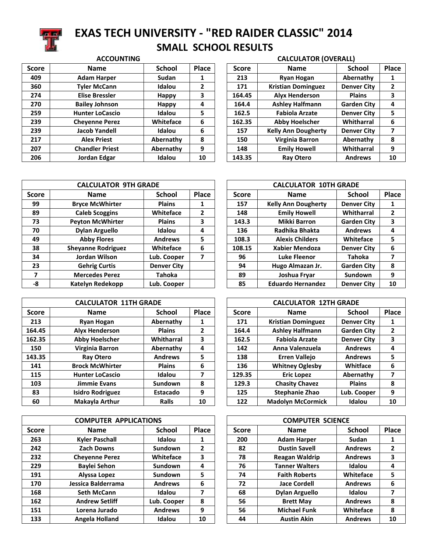

### **EXAS TECH UNIVERSITY - "RED RAIDER CLASSIC" 2014 SMALL SCHOOL RESULTS ACCOUNTING CALCULATOR (OVERALL)**

| <b>Score</b> | <b>Name</b>            | <b>School</b> | <b>Place</b> | <b>Score</b> | <b>Name</b>                | <b>School</b>      | Place |
|--------------|------------------------|---------------|--------------|--------------|----------------------------|--------------------|-------|
| 409          | <b>Adam Harper</b>     | Sudan         |              | 213          | <b>Ryan Hogan</b>          | Abernathy          |       |
| 360          | <b>Tyler McCann</b>    | Idalou        | 2            | 171          | <b>Kristian Dominguez</b>  | <b>Denver City</b> | 2     |
| 274          | <b>Elise Bressler</b>  | <b>Happy</b>  | 3            | 164.45       | <b>Alyx Henderson</b>      | <b>Plains</b>      | 3     |
| 270          | <b>Bailey Johnson</b>  | <b>Happy</b>  | 4            | 164.4        | <b>Ashley Halfmann</b>     | <b>Garden City</b> | 4     |
| 259          | <b>Hunter LoCascio</b> | Idalou        | 5            | 162.5        | <b>Fabiola Arzate</b>      | <b>Denver City</b> | 5     |
| 239          | <b>Chevenne Perez</b>  | Whiteface     | 6            | 162.35       | <b>Abby Hoelscher</b>      | Whitharral         | 6     |
| 239          | <b>Jacob Yandell</b>   | Idalou        | 6            | 157          | <b>Kelly Ann Dougherty</b> | <b>Denver City</b> |       |
| 217          | <b>Alex Priest</b>     | Abernathy     | 8            | 150          | Virginia Barron            | Abernathy          | 8     |
| 207          | <b>Chandler Priest</b> | Abernathy     | 9            | 148          | <b>Emily Howell</b>        | Whitharral         | 9     |
| 206          | Jordan Edgar           | Idalou        | 10           | 143.35       | <b>Ray Otero</b>           | <b>Andrews</b>     | 10    |

| Score  | <b>Name</b>                | <b>School</b>      | <b>Place</b> |
|--------|----------------------------|--------------------|--------------|
| 213    | <b>Ryan Hogan</b>          | Abernathy          | 1            |
| 171    | <b>Kristian Dominguez</b>  | <b>Denver City</b> | $\mathbf{2}$ |
| 164.45 | <b>Alyx Henderson</b>      | <b>Plains</b>      | 3            |
| 164.4  | <b>Ashley Halfmann</b>     | <b>Garden City</b> | 4            |
| 162.5  | <b>Fabiola Arzate</b>      | <b>Denver City</b> | 5            |
| 162.35 | <b>Abby Hoelscher</b>      | Whitharral         | 6            |
| 157    | <b>Kelly Ann Dougherty</b> | <b>Denver City</b> | 7            |
| 150    | Virginia Barron            | Abernathy          | 8            |
| 148    | <b>Emily Howell</b>        | Whitharral         | 9            |
| 143.35 | <b>Ray Otero</b>           | <b>Andrews</b>     | 10           |

|              | <b>CALCULATOR 9TH GRADE</b> |                    |       |              | <b>CALCULATOR 10TH GRADE</b> |                    |       |
|--------------|-----------------------------|--------------------|-------|--------------|------------------------------|--------------------|-------|
| <b>Score</b> | <b>Name</b>                 | <b>School</b>      | Place | <b>Score</b> | <b>Name</b>                  | <b>School</b>      | Place |
| 99           | <b>Bryce McWhirter</b>      | <b>Plains</b>      | 1     | 157          | <b>Kelly Ann Dougherty</b>   | <b>Denver City</b> |       |
| 89           | <b>Caleb Scoggins</b>       | Whiteface          | 2     | 148          | <b>Emily Howell</b>          | Whitharral         | 2     |
| 73           | <b>Peyton McWhirter</b>     | <b>Plains</b>      | 3     | 143.3        | <b>Mikki Barron</b>          | <b>Garden City</b> | 3     |
| 70           | <b>Dylan Arguello</b>       | Idalou             | 4     | 136          | Radhika Bhakta               | <b>Andrews</b>     | 4     |
| 49           | <b>Abby Flores</b>          | <b>Andrews</b>     | 5     | 108.3        | <b>Alexis Childers</b>       | Whiteface          | 5     |
| 38           | <b>Sheyanne Rodriguez</b>   | Whiteface          | 6     | 108.15       | <b>Xabier Mendoza</b>        | <b>Denver City</b> | 6     |
| 34           | Jordan Wilson               | Lub. Cooper        | 7     | 96           | Luke Fleenor                 | Tahoka             | 7     |
| 23           | <b>Gehrig Curtis</b>        | <b>Denver City</b> |       | 94           | Hugo Almazan Jr.             | <b>Garden City</b> | 8     |
| 7            | <b>Mercedes Perez</b>       | Tahoka             |       | 89           | Joshua Fryar                 | <b>Sundown</b>     | 9     |
| -8           | Katelyn Redekopp            | Lub. Cooper        |       | 85           | <b>Eduardo Hernandez</b>     | <b>Denver City</b> | 10    |

|              | <b>CALCULATOR 11TH GRADE</b> |                 |       | <b>CALCULATOR 12TH GRADE</b> |              |                           |                    |       |
|--------------|------------------------------|-----------------|-------|------------------------------|--------------|---------------------------|--------------------|-------|
| <b>Score</b> | <b>Name</b>                  | <b>School</b>   | Place |                              | <b>Score</b> | <b>Name</b>               | <b>School</b>      | Place |
| 213          | <b>Ryan Hogan</b>            | Abernathy       | 1     |                              | 171          | <b>Kristian Dominguez</b> | <b>Denver City</b> |       |
| 164.45       | <b>Alyx Henderson</b>        | <b>Plains</b>   | 2     |                              | 164.4        | <b>Ashley Halfmann</b>    | <b>Garden City</b> | 2     |
| 162.35       | <b>Abby Hoelscher</b>        | Whitharral      | 3     |                              | 162.5        | <b>Fabiola Arzate</b>     | <b>Denver City</b> | 3     |
| 150          | Virginia Barron              | Abernathy       | 4     |                              | 142          | Anna Valenzuela           | <b>Andrews</b>     | 4     |
| 143.35       | <b>Ray Otero</b>             | <b>Andrews</b>  | 5     |                              | 138          | <b>Erren Vallejo</b>      | <b>Andrews</b>     | 5     |
| 141          | <b>Brock McWhirter</b>       | <b>Plains</b>   | 6     |                              | 136          | <b>Whitney Oglesby</b>    | Whitface           | 6     |
| 115          | <b>Hunter LoCascio</b>       | Idalou          | 7     |                              | 129.35       | <b>Eric Lopez</b>         | Abernathy          | 7     |
| 103          | Jimmie Evans                 | <b>Sundown</b>  | 8     |                              | 129.3        | <b>Chasity Chavez</b>     | <b>Plains</b>      | 8     |
| 83           | <b>Isidro Rodriguez</b>      | <b>Estacado</b> | 9     |                              | 125          | <b>Stephanie Zhao</b>     | Lub. Cooper        | 9     |
| 60           | Makayla Arthur               | <b>Ralls</b>    | 10    |                              | 122          | <b>Madolyn McCormick</b>  | Idalou             | 10    |

|              | <b>COMPUTER APPLICATIONS</b> |                        |    |              | <b>COMPUTER SCIENCE</b> |                |       |
|--------------|------------------------------|------------------------|----|--------------|-------------------------|----------------|-------|
| <b>Score</b> | <b>Name</b>                  | Place<br><b>School</b> |    | <b>Score</b> | <b>Name</b>             | <b>School</b>  | Place |
| 263          | <b>Kyler Paschall</b>        | Idalou                 |    | 200          | <b>Adam Harper</b>      | Sudan          |       |
| 242          | <b>Zach Downs</b>            | Sundown                | 2  | 82           | <b>Dustin Savell</b>    | <b>Andrews</b> | 2     |
| 232          | <b>Chevenne Perez</b>        | Whiteface              | 3  | 78           | <b>Reagan Waldrip</b>   | <b>Andrews</b> | 3     |
| 229          | <b>Baylei Sehon</b>          | <b>Sundown</b>         | 4  | 76           | <b>Tanner Walters</b>   | Idalou         | 4     |
| 191          | Alyssa Lopez                 | Sundown                | 5  | 74           | <b>Faith Roberts</b>    | Whiteface      | 5     |
| 170          | Jessica Balderrama           | <b>Andrews</b>         | 6  | 72           | <b>Jace Cordell</b>     | <b>Andrews</b> | 6     |
| 168          | <b>Seth McCann</b>           | Idalou                 | 7  | 68           | <b>Dylan Arguello</b>   | Idalou         |       |
| 162          | <b>Andrew Setliff</b>        | Lub. Cooper            | 8  | 56           | <b>Brett May</b>        | Andrews        | 8     |
| 151          | Lorena Jurado                | <b>Andrews</b>         | 9  | 56           | <b>Michael Funk</b>     | Whiteface      | 8     |
| 133          | Angela Holland               | Idalou                 | 10 | 44           | <b>Austin Akin</b>      | <b>Andrews</b> | 10    |

|              | <b>CALCULATOR 10TH GRADE</b> |                    |              |  |  |  |  |  |  |
|--------------|------------------------------|--------------------|--------------|--|--|--|--|--|--|
| <b>Score</b> | <b>Name</b>                  | <b>School</b>      | Place        |  |  |  |  |  |  |
| 157          | <b>Kelly Ann Dougherty</b>   | <b>Denver City</b> | 1            |  |  |  |  |  |  |
| 148          | <b>Emily Howell</b>          | Whitharral         | $\mathbf{2}$ |  |  |  |  |  |  |
| 143.3        | <b>Mikki Barron</b>          | <b>Garden City</b> | 3            |  |  |  |  |  |  |
| 136          | Radhika Bhakta               | <b>Andrews</b>     | 4            |  |  |  |  |  |  |
| 108.3        | <b>Alexis Childers</b>       | Whiteface          | 5            |  |  |  |  |  |  |
| 108.15       | <b>Xabier Mendoza</b>        | <b>Denver City</b> | 6            |  |  |  |  |  |  |
| 96           | <b>Luke Fleenor</b>          | <b>Tahoka</b>      | 7            |  |  |  |  |  |  |
| 94           | Hugo Almazan Jr.             | <b>Garden City</b> | 8            |  |  |  |  |  |  |
| 89           | Joshua Fryar                 | Sundown            | 9            |  |  |  |  |  |  |
| 85           | <b>Eduardo Hernandez</b>     | <b>Denver City</b> | 10           |  |  |  |  |  |  |

| <b>CALCULATOR 12TH GRADE</b> |                           |                    |              |  |  |  |  |  |  |
|------------------------------|---------------------------|--------------------|--------------|--|--|--|--|--|--|
| Score                        | <b>Name</b>               | <b>School</b>      | <b>Place</b> |  |  |  |  |  |  |
| 171                          | <b>Kristian Dominguez</b> | <b>Denver City</b> | 1            |  |  |  |  |  |  |
| 164.4                        | <b>Ashley Halfmann</b>    | <b>Garden City</b> | $\mathbf{2}$ |  |  |  |  |  |  |
| 162.5                        | <b>Fabiola Arzate</b>     | <b>Denver City</b> | 3            |  |  |  |  |  |  |
| 142                          | Anna Valenzuela           | <b>Andrews</b>     | 4            |  |  |  |  |  |  |
| 138                          | <b>Erren Vallejo</b>      | <b>Andrews</b>     | 5            |  |  |  |  |  |  |
| 136                          | <b>Whitney Oglesby</b>    | Whitface           | 6            |  |  |  |  |  |  |
| 129.35                       | <b>Eric Lopez</b>         | Abernathy          | 7            |  |  |  |  |  |  |
| 129.3                        | <b>Chasity Chavez</b>     | <b>Plains</b>      | 8            |  |  |  |  |  |  |
| 125                          | <b>Stephanie Zhao</b>     | Lub. Cooper        | 9            |  |  |  |  |  |  |
| 122                          | <b>Madolyn McCormick</b>  | Idalou             | 10           |  |  |  |  |  |  |

|              | <b>COMPUTER SCIENCE</b> |                |              |  |  |  |  |  |  |
|--------------|-------------------------|----------------|--------------|--|--|--|--|--|--|
| <b>Score</b> | <b>Name</b>             | <b>School</b>  | Place        |  |  |  |  |  |  |
| 200          | <b>Adam Harper</b>      | Sudan          | 1            |  |  |  |  |  |  |
| 82           | <b>Dustin Savell</b>    | <b>Andrews</b> | $\mathbf{2}$ |  |  |  |  |  |  |
| 78           | <b>Reagan Waldrip</b>   | <b>Andrews</b> | 3            |  |  |  |  |  |  |
| 76           | <b>Tanner Walters</b>   | Idalou         | 4            |  |  |  |  |  |  |
| 74           | <b>Faith Roberts</b>    | Whiteface      | 5            |  |  |  |  |  |  |
| 72           | <b>Jace Cordell</b>     | <b>Andrews</b> | 6            |  |  |  |  |  |  |
| 68           | <b>Dylan Arguello</b>   | Idalou         | 7            |  |  |  |  |  |  |
| 56           | <b>Brett May</b>        | <b>Andrews</b> | 8            |  |  |  |  |  |  |
| 56           | <b>Michael Funk</b>     | Whiteface      | 8            |  |  |  |  |  |  |
| 44           | <b>Austin Akin</b>      | <b>Andrews</b> | 10           |  |  |  |  |  |  |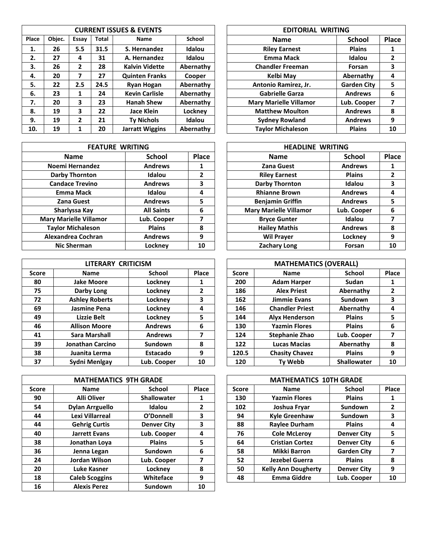|       | <b>CURRENT ISSUES &amp; EVENTS</b> |              |              |                        |           |  | <b>EDITORIAL WRITING</b>      |                    |       |
|-------|------------------------------------|--------------|--------------|------------------------|-----------|--|-------------------------------|--------------------|-------|
| Place | Objec.                             | Essay        | <b>Total</b> | <b>Name</b>            | School    |  | <b>Name</b>                   | <b>School</b>      | Place |
| 1.    | 26                                 | 5.5          | 31.5         | S. Hernandez           | Idalou    |  | <b>Riley Earnest</b>          | <b>Plains</b>      | 1     |
| 2.    | 27                                 | 4            | 31           | A. Hernandez           | Idalou    |  | <b>Emma Mack</b>              | Idalou             | 2     |
| 3.    | 26                                 | $\mathbf{2}$ | 28           | <b>Kalvin Vidette</b>  | Abernathy |  | <b>Chandler Freeman</b>       | Forsan             | 3     |
| 4.    | 20                                 | 7            | 27           | <b>Quinten Franks</b>  | Cooper    |  | Kelbi May                     | Abernathy          | 4     |
| 5.    | 22                                 | 2.5          | 24.5         | <b>Ryan Hogan</b>      | Abernathy |  | Antonio Ramirez, Jr.          | <b>Garden City</b> | 5     |
| 6.    | 23                                 | 1            | 24           | <b>Kevin Carlisle</b>  | Abernathy |  | <b>Gabrielle Garza</b>        | <b>Andrews</b>     | 6     |
| 7.    | 20                                 | 3            | 23           | <b>Hanah Shew</b>      | Abernathy |  | <b>Mary Marielle Villamor</b> | Lub. Cooper        | 7     |
| 8.    | 19                                 | 3            | 22           | Jace Klein             | Lockney   |  | <b>Matthew Moulton</b>        | <b>Andrews</b>     | 8     |
| 9.    | 19                                 | 2            | 21           | <b>Ty Nichols</b>      | Idalou    |  | <b>Sydney Rowland</b>         | <b>Andrews</b>     | 9     |
| 10.   | 19                                 |              | 20           | <b>Jarratt Wiggins</b> | Abernathy |  | <b>Taylor Michaleson</b>      | <b>Plains</b>      | 10    |

| <b>FEATURE WRITING</b>        |                               |    | <b>HEADLINE WRITING</b>       |                |              |
|-------------------------------|-------------------------------|----|-------------------------------|----------------|--------------|
| <b>Name</b>                   | <b>Place</b><br><b>School</b> |    | <b>Name</b>                   | <b>School</b>  | Pla          |
| Noemi Hernandez               | <b>Andrews</b>                |    | <b>Zana Guest</b>             | <b>Andrews</b> |              |
| <b>Darby Thornton</b>         | Idalou                        | 2  | <b>Riley Earnest</b>          | <b>Plains</b>  | 2            |
| <b>Candace Trevino</b>        | <b>Andrews</b>                | 3  | <b>Darby Thornton</b>         | Idalou         |              |
| <b>Emma Mack</b>              | Idalou                        | 4  | <b>Rhianne Brown</b>          | <b>Andrews</b> | 4            |
| <b>Zana Guest</b>             | <b>Andrews</b>                | 5  | <b>Benjamin Griffin</b>       | <b>Andrews</b> | 5            |
| Sharlyssa Kay                 | <b>All Saints</b>             | 6  | <b>Mary Marielle Villamor</b> | Lub. Cooper    | 6            |
| <b>Mary Marielle Villamor</b> | Lub. Cooper                   | 7  | <b>Bryce Gunter</b>           | Idalou         |              |
| <b>Taylor Michaleson</b>      | <b>Plains</b>                 | 8  | <b>Hailey Mathis</b>          | <b>Andrews</b> | 8            |
| Alexandrea Cochran            | <b>Andrews</b>                | 9  | <b>Wil Prayer</b>             | Lockney        | 9            |
| <b>Nic Sherman</b>            | Lockney                       | 10 | <b>Zachary Long</b>           | Forsan         | $\mathbf{1}$ |

|              | LITERARY CRITICISM    |                |              |  | <b>MATHEMATICS (OVERALL)</b> |                        |                    |       |
|--------------|-----------------------|----------------|--------------|--|------------------------------|------------------------|--------------------|-------|
| <b>Score</b> | <b>Name</b>           | School         | <b>Place</b> |  | <b>Score</b>                 | <b>Name</b>            | School             | Place |
| 80           | <b>Jake Moore</b>     | Locknev        | 1            |  | 200                          | <b>Adam Harper</b>     | <b>Sudan</b>       |       |
| 75           | Darby Long            | Lockney        | 2            |  | 186                          | <b>Alex Priest</b>     | Abernathy          | 2     |
| 72           | <b>Ashley Roberts</b> | Lockney        | 3            |  | 162                          | Jimmie Evans           | Sundown            | 3     |
| 69           | Jasmine Pena          | Lockney        | 4            |  | 146                          | <b>Chandler Priest</b> | Abernathy          | 4     |
| 49           | Lizzie Belt           | Lockney        | 5            |  | 144                          | <b>Alvx Henderson</b>  | <b>Plains</b>      | 5     |
| 46           | <b>Allison Moore</b>  | <b>Andrews</b> | 6            |  | 130                          | <b>Yazmin Flores</b>   | <b>Plains</b>      | 6     |
| 41           | Sara Marshall         | <b>Andrews</b> | 7            |  | 124                          | <b>Stephanie Zhao</b>  | Lub. Cooper        |       |
| 39           | Jonathan Carcino      | Sundown        | 8            |  | 122                          | <b>Lucas Macias</b>    | Abernathy          | 8     |
| 38           | Juanita Lerma         | Estacado       | 9            |  | 120.5                        | <b>Chasity Chavez</b>  | <b>Plains</b>      | 9     |
| 37           | Sydni Menlgay         | Lub. Cooper    | 10           |  | 120                          | <b>Ty Webb</b>         | <b>Shallowater</b> | 10    |

|              | <b>MATHEMATICS 9TH GRADE</b> |                    |       |  |              | <b>MATHEMATICS 10TH GRADE</b> |                    |       |
|--------------|------------------------------|--------------------|-------|--|--------------|-------------------------------|--------------------|-------|
| <b>Score</b> | <b>Name</b>                  | <b>School</b>      | Place |  | <b>Score</b> | <b>Name</b>                   | School             | Place |
| 90           | <b>Alli Oliver</b>           | <b>Shallowater</b> | 1     |  | 130          | <b>Yazmin Flores</b>          | <b>Plains</b>      | 1     |
| 54           | <b>Dylan Arrguello</b>       | Idalou             | 2     |  | 102          | Joshua Fryar                  | Sundown            | 2     |
| 44           | Lexi Villarreal              | O'Donnell          | 3     |  | 94           | <b>Kyle Greenhaw</b>          | Sundown            | 3     |
| 44           | <b>Gehrig Curtis</b>         | <b>Denver City</b> | 3     |  | 88           | <b>Raylee Durham</b>          | <b>Plains</b>      | 4     |
| 40           | <b>Jarrett Evans</b>         | Lub. Cooper        | 4     |  | 76           | <b>Cole McLeroy</b>           | <b>Denver City</b> | 5     |
| 38           | Jonathan Loya                | <b>Plains</b>      | 5     |  | 64           | <b>Cristian Cortez</b>        | <b>Denver City</b> | 6     |
| 36           | Jenna Legan                  | <b>Sundown</b>     | 6     |  | 58           | <b>Mikki Barron</b>           | <b>Garden City</b> | 7     |
| 24           | Jordan Wilson                | Lub. Cooper        | 7     |  | 52           | Jezebel Guerra                | <b>Plains</b>      | 8     |
| 20           | Luke Kasner                  | Lockney            | 8     |  | 50           | <b>Kelly Ann Dougherty</b>    | <b>Denver City</b> | 9     |
| 18           | <b>Caleb Scoggins</b>        | Whiteface          | 9     |  | 48           | <b>Emma Giddre</b>            | Lub. Cooper        | 10    |
| 16           | <b>Alexis Perez</b>          | Sundown            | 10    |  |              |                               |                    |       |

| <b>EDITORIAL WRITING</b>      |                    |              |  |  |  |  |  |
|-------------------------------|--------------------|--------------|--|--|--|--|--|
| <b>Name</b>                   | <b>School</b>      | <b>Place</b> |  |  |  |  |  |
| <b>Riley Earnest</b>          | <b>Plains</b>      | 1            |  |  |  |  |  |
| <b>Emma Mack</b>              | Idalou             | $\mathbf{2}$ |  |  |  |  |  |
| <b>Chandler Freeman</b>       | <b>Forsan</b>      | 3            |  |  |  |  |  |
| <b>Kelbi May</b>              | Abernathy          | 4            |  |  |  |  |  |
| Antonio Ramirez, Jr.          | <b>Garden City</b> | 5            |  |  |  |  |  |
| <b>Gabrielle Garza</b>        | <b>Andrews</b>     | 6            |  |  |  |  |  |
| <b>Mary Marielle Villamor</b> | Lub. Cooper        | 7            |  |  |  |  |  |
| <b>Matthew Moulton</b>        | <b>Andrews</b>     | 8            |  |  |  |  |  |
| <b>Sydney Rowland</b>         | <b>Andrews</b>     | 9            |  |  |  |  |  |
| <b>Taylor Michaleson</b>      | <b>Plains</b>      | 10           |  |  |  |  |  |

| <b>FEATURE WRITING</b> |                   |       | <b>HEADLINE WRITING</b>       |                |                |  |  |
|------------------------|-------------------|-------|-------------------------------|----------------|----------------|--|--|
| <b>Name</b>            | <b>School</b>     | Place | <b>Name</b>                   | <b>School</b>  | Place          |  |  |
| <b>Noemi Hernandez</b> | <b>Andrews</b>    | 1     | <b>Zana Guest</b>             | <b>Andrews</b> | 1              |  |  |
| <b>Darby Thornton</b>  | Idalou            | 2     | <b>Riley Earnest</b>          | <b>Plains</b>  | $\overline{2}$ |  |  |
| <b>Candace Trevino</b> | <b>Andrews</b>    | 3     | <b>Darby Thornton</b>         | Idalou         | 3              |  |  |
| <b>Emma Mack</b>       | Idalou            | 4     | <b>Rhianne Brown</b>          | <b>Andrews</b> | 4              |  |  |
| <b>Zana Guest</b>      | <b>Andrews</b>    | 5     | <b>Benjamin Griffin</b>       | <b>Andrews</b> | 5              |  |  |
| Sharlyssa Kay          | <b>All Saints</b> | 6     | <b>Mary Marielle Villamor</b> | Lub. Cooper    | 6              |  |  |
| ry Marielle Villamor   | Lub. Cooper       | 7     | <b>Bryce Gunter</b>           | Idalou         |                |  |  |
| aylor Michaleson       | <b>Plains</b>     | 8     | <b>Hailey Mathis</b>          | <b>Andrews</b> | 8              |  |  |
| lexandrea Cochran      | <b>Andrews</b>    | 9     | <b>Wil Prayer</b>             | Lockney        | 9              |  |  |
| <b>Nic Sherman</b>     | Lockney           | 10    | <b>Zachary Long</b>           | Forsan         | 10             |  |  |

| LITERARY CRITICISM |                |                | <b>MATHEMATICS (OVERALL)</b> |                        |                    |       |  |  |
|--------------------|----------------|----------------|------------------------------|------------------------|--------------------|-------|--|--|
| lame               | <b>School</b>  | Place          | <b>Score</b>                 | <b>Name</b>            | <b>School</b>      | Place |  |  |
| Moore              | Lockney        | 1              | 200                          | <b>Adam Harper</b>     | <b>Sudan</b>       | 1     |  |  |
| by Long            | Lockney        | $\overline{2}$ | 186                          | <b>Alex Priest</b>     | Abernathy          | 2     |  |  |
| y Roberts          | Lockney        | 3              | 162                          | <b>Jimmie Evans</b>    | Sundown            | 3     |  |  |
| ine Pena           | Lockney        | 4              | 146                          | <b>Chandler Priest</b> | Abernathy          | 4     |  |  |
| zie Belt           | Lockney        | 5              | 144                          | <b>Alyx Henderson</b>  | <b>Plains</b>      | 5     |  |  |
| n Moore            | <b>Andrews</b> | 6              | 130                          | <b>Yazmin Flores</b>   | <b>Plains</b>      | 6     |  |  |
| <b>Marshall</b>    | <b>Andrews</b> | 7              | 124                          | <b>Stephanie Zhao</b>  | Lub. Cooper        | 7     |  |  |
| an Carcino         | <b>Sundown</b> | 8              | 122                          | <b>Lucas Macias</b>    | Abernathy          | 8     |  |  |
| ta Lerma           | Estacado       | 9              | 120.5                        | <b>Chasity Chavez</b>  | <b>Plains</b>      | 9     |  |  |
| Menlgay            | Lub. Cooper    | 10             | 120                          | Ty Webb                | <b>Shallowater</b> | 10    |  |  |

|              | <b>MATHEMATICS 10TH GRADE</b> |                    |              |  |  |  |  |  |
|--------------|-------------------------------|--------------------|--------------|--|--|--|--|--|
| <b>Score</b> | <b>Name</b>                   | <b>School</b>      | Place        |  |  |  |  |  |
| 130          | <b>Yazmin Flores</b>          | <b>Plains</b>      | 1            |  |  |  |  |  |
| 102          | Joshua Fryar                  | Sundown            | $\mathbf{2}$ |  |  |  |  |  |
| 94           | <b>Kyle Greenhaw</b>          | Sundown            | 3            |  |  |  |  |  |
| 88           | <b>Raylee Durham</b>          | <b>Plains</b>      | 4            |  |  |  |  |  |
| 76           | <b>Cole McLerov</b>           | <b>Denver City</b> | 5            |  |  |  |  |  |
| 64           | <b>Cristian Cortez</b>        | <b>Denver City</b> | 6            |  |  |  |  |  |
| 58           | <b>Mikki Barron</b>           | <b>Garden City</b> | 7            |  |  |  |  |  |
| 52           | <b>Jezebel Guerra</b>         | <b>Plains</b>      | 8            |  |  |  |  |  |
| 50           | <b>Kelly Ann Dougherty</b>    | <b>Denver City</b> | 9            |  |  |  |  |  |
| 48           | <b>Emma Giddre</b>            | Lub. Cooper        | 10           |  |  |  |  |  |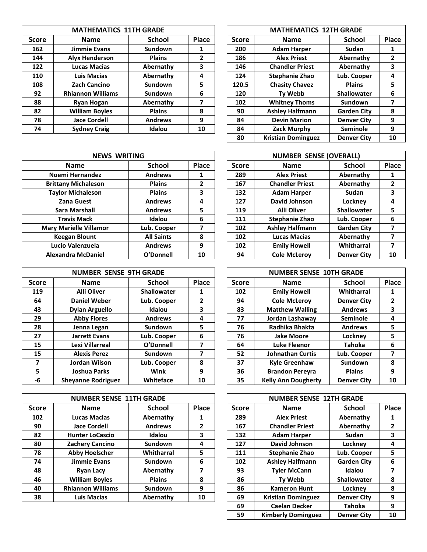|              | <b>MATHEMATICS 11TH GRADE</b> |                |       |              | <b>MATHEMATICS 12TH GRADE</b> |                    |       |
|--------------|-------------------------------|----------------|-------|--------------|-------------------------------|--------------------|-------|
| <b>Score</b> | <b>Name</b>                   | <b>School</b>  | Place | <b>Score</b> | <b>Name</b>                   | <b>School</b>      | Place |
| 162          | Jimmie Evans                  | Sundown        | 1     | 200          | <b>Adam Harper</b>            | Sudan              |       |
| 144          | <b>Alyx Henderson</b>         | <b>Plains</b>  | 2     | 186          | <b>Alex Priest</b>            | Abernathy          | 2     |
| 122          | <b>Lucas Macias</b>           | Abernathy      | 3     | 146          | <b>Chandler Priest</b>        | Abernathy          | 3     |
| 110          | Luis Macias                   | Abernathy      | 4     | 124          | <b>Stephanie Zhao</b>         | Lub. Cooper        | 4     |
| 108          | Zach Cancino                  | <b>Sundown</b> | 5     | 120.5        | <b>Chasity Chavez</b>         | <b>Plains</b>      | 5     |
| 92           | <b>Rhiannon Williams</b>      | Sundown        | 6     | 120          | <b>Tv Webb</b>                | <b>Shallowater</b> | 6     |
| 88           | Ryan Hogan                    | Abernathy      | 7     | 102          | <b>Whitney Thoms</b>          | Sundown            | 7     |
| 82           | <b>William Boyles</b>         | <b>Plains</b>  | 8     | 90           | <b>Ashley Halfmann</b>        | <b>Garden City</b> | 8     |
| 78           | <b>Jace Cordell</b>           | <b>Andrews</b> | 9     | 84           | <b>Devin Marion</b>           | <b>Denver City</b> | 9     |
| 74           | <b>Sydney Craig</b>           | Idalou         | 10    | 84           | Zack Murphy                   | <b>Seminole</b>    | 9     |
|              |                               |                |       |              |                               |                    |       |

| <b>NEWS WRITING</b> |       |  |     |                        |                    |                               |
|---------------------|-------|--|-----|------------------------|--------------------|-------------------------------|
| <b>School</b>       | Place |  |     | <b>Name</b>            | <b>School</b>      | Pla                           |
| <b>Andrews</b>      |       |  | 289 | <b>Alex Priest</b>     | Abernathy          | 1                             |
| <b>Plains</b>       | 2     |  | 167 | <b>Chandler Priest</b> | Abernathy          | 2                             |
| <b>Plains</b>       | 3     |  | 132 | <b>Adam Harper</b>     | <b>Sudan</b>       | З                             |
| <b>Andrews</b>      | 4     |  | 127 | David Johnson          | Lockney            | 4                             |
| <b>Andrews</b>      | 5     |  | 119 | <b>Alli Oliver</b>     | <b>Shallowater</b> | 5                             |
| Idalou              | 6     |  | 111 | <b>Stephanie Zhao</b>  | Lub. Cooper        | 6                             |
| Lub. Cooper         | 7     |  | 102 | <b>Ashley Halfmann</b> | <b>Garden City</b> |                               |
| <b>All Saints</b>   | 8     |  | 102 | <b>Lucas Macias</b>    | Abernathy          |                               |
| <b>Andrews</b>      | 9     |  | 102 | <b>Emily Howell</b>    | Whitharral         |                               |
| O'Donnell           | 10    |  | 94  | <b>Cole McLeroy</b>    | <b>Denver City</b> | 10                            |
|                     |       |  |     | <b>Score</b>           |                    | <b>NUMBER SENSE (OVERALL)</b> |

|              | <b>NUMBER SENSE 9TH GRADE</b> |                    |              |  |              | <b>NUMBER SENSE 10TH GRADE</b> |                    |       |
|--------------|-------------------------------|--------------------|--------------|--|--------------|--------------------------------|--------------------|-------|
| <b>Score</b> | Name                          | <b>School</b>      | <b>Place</b> |  | <b>Score</b> | <b>Name</b>                    | School             | Place |
| 119          | <b>Alli Oliver</b>            | <b>Shallowater</b> | 1            |  | 102          | <b>Emily Howell</b>            | Whitharral         | 1     |
| 64           | <b>Daniel Weber</b>           | Lub. Cooper        | 2            |  | 94           | <b>Cole McLerov</b>            | <b>Denver City</b> | 2     |
| 43           | <b>Dylan Arguello</b>         | Idalou             | 3            |  | 83           | <b>Matthew Walling</b>         | <b>Andrews</b>     | 3     |
| 29           | <b>Abby Flores</b>            | <b>Andrews</b>     | 4            |  | 77           | Jordan Lashaway                | <b>Seminole</b>    | 4     |
| 28           | Jenna Legan                   | Sundown            | 5            |  | 76           | Radhika Bhakta                 | <b>Andrews</b>     | 5     |
| 27           | <b>Jarrett Evans</b>          | Lub. Cooper        | 6            |  | 76           | Jake Moore                     | Lockney            | 5     |
| 15           | Lexi Villarreal               | O'Donnell          | 7            |  | 64           | Luke Fleenor                   | <b>Tahoka</b>      | 6     |
| 15           | <b>Alexis Perez</b>           | Sundown            | 7            |  | 52           | <b>Johnathan Curtis</b>        | Lub. Cooper        | 7     |
| 7            | Jordan Wilson                 | Lub. Cooper        | 8            |  | 37           | <b>Kyle Greenhaw</b>           | Sundown            | 8     |
| 5            | Joshua Parks                  | Wink               | 9            |  | 36           | <b>Brandon Perevra</b>         | <b>Plains</b>      | 9     |
| -6           | <b>Sheyanne Rodriguez</b>     | Whiteface          | 10           |  | 35           | <b>Kelly Ann Dougherty</b>     | <b>Denver City</b> | 10    |

|              | <b>NUMBER SENSE 11TH GRADE</b> |                |       |              | <b>NUMBER SENSE 12TH GRADE</b> |                    |       |
|--------------|--------------------------------|----------------|-------|--------------|--------------------------------|--------------------|-------|
| <b>Score</b> | <b>Name</b>                    | School         | Place | <b>Score</b> | <b>Name</b>                    | <b>School</b>      | Place |
| 102          | <b>Lucas Macias</b>            | Abernathy      | ı     | 289          | <b>Alex Priest</b>             | Abernathy          |       |
| 90           | <b>Jace Cordell</b>            | <b>Andrews</b> | 2     | 167          | <b>Chandler Priest</b>         | Abernathy          | 2     |
| 82           | <b>Hunter LoCascio</b>         | Idalou         | 3     | 132          | <b>Adam Harper</b>             | <b>Sudan</b>       | 3     |
| 80           | <b>Zachery Cancino</b>         | Sundown        | 4     | 127          | David Johnson                  | Locknev            | 4     |
| 78           | <b>Abby Hoelscher</b>          | Whitharral     | 5     | 111          | <b>Stephanie Zhao</b>          | Lub. Cooper        | 5     |
| 74           | <b>Jimmie Evans</b>            | Sundown        | 6     | 102          | <b>Ashley Halfmann</b>         | <b>Garden City</b> | 6     |
| 48           | <b>Ryan Lacy</b>               | Abernathy      |       | 93           | <b>Tyler McCann</b>            | Idalou             | 7     |
| 46           | <b>William Boyles</b>          | <b>Plains</b>  | 8     | 86           | Ty Webb                        | <b>Shallowater</b> | 8     |
| 40           | <b>Rhiannon Williams</b>       | Sundown        | 9     | 86           | <b>Kameron Hunt</b>            | Lockney            | 8     |
| 38           | <b>Luis Macias</b>             | Abernathy      | 10    | 69           | <b>Kristian Dominguez</b>      | <b>Denver City</b> | 9     |
|              |                                |                |       |              |                                |                    |       |

| <b>MATHEMATICS 12TH GRADE</b> |                           |                    |                |  |  |  |  |
|-------------------------------|---------------------------|--------------------|----------------|--|--|--|--|
| <b>Score</b>                  | <b>Name</b>               | <b>School</b>      | Place          |  |  |  |  |
| 200                           | <b>Adam Harper</b>        | Sudan              | 1              |  |  |  |  |
| 186                           | <b>Alex Priest</b>        | Abernathy          | $\overline{2}$ |  |  |  |  |
| 146                           | <b>Chandler Priest</b>    | Abernathy          | 3              |  |  |  |  |
| 124                           | <b>Stephanie Zhao</b>     | Lub. Cooper        | 4              |  |  |  |  |
| 120.5                         | <b>Chasity Chavez</b>     | <b>Plains</b>      | 5.             |  |  |  |  |
| 120                           | <b>Ty Webb</b>            | <b>Shallowater</b> | 6              |  |  |  |  |
| 102                           | <b>Whitney Thoms</b>      | Sundown            | 7              |  |  |  |  |
| 90                            | <b>Ashley Halfmann</b>    | <b>Garden City</b> | 8              |  |  |  |  |
| 84                            | <b>Devin Marion</b>       | <b>Denver City</b> | 9              |  |  |  |  |
| 84                            | Zack Murphy               | Seminole           | 9              |  |  |  |  |
| 80                            | <b>Kristian Dominguez</b> | <b>Denver City</b> | 10             |  |  |  |  |

|                            | <b>NEWS WRITING</b> |       |              | <b>NUMBER SENSE (OVERALL)</b> |                    |                |  |  |  |
|----------------------------|---------------------|-------|--------------|-------------------------------|--------------------|----------------|--|--|--|
| <b>Name</b>                | <b>School</b>       | Place | <b>Score</b> | <b>Name</b>                   | <b>School</b>      | Place          |  |  |  |
| Noemi Hernandez            | <b>Andrews</b>      | 1     | 289          | <b>Alex Priest</b>            | Abernathy          | 1              |  |  |  |
| <b>Brittany Michaleson</b> | <b>Plains</b>       | 2     | 167          | <b>Chandler Priest</b>        | Abernathy          | $\overline{2}$ |  |  |  |
| <b>Taylor Michaleson</b>   | <b>Plains</b>       | 3     | 132          | <b>Adam Harper</b>            | Sudan              | 3              |  |  |  |
| <b>Zana Guest</b>          | <b>Andrews</b>      | 4     | 127          | David Johnson                 | Lockney            | 4              |  |  |  |
| <b>Sara Marshall</b>       | <b>Andrews</b>      | 5     | 119          | <b>Alli Oliver</b>            | <b>Shallowater</b> | 5              |  |  |  |
| <b>Travis Mack</b>         | Idalou              | 6     | 111          | <b>Stephanie Zhao</b>         | Lub. Cooper        | 6              |  |  |  |
| lary Marielle Villamor     | Lub. Cooper         | 7     | 102          | <b>Ashley Halfmann</b>        | <b>Garden City</b> | 7              |  |  |  |
| <b>Keegan Blount</b>       | <b>All Saints</b>   | 8     | 102          | <b>Lucas Macias</b>           | Abernathy          | 7              |  |  |  |
| Lucio Valenzuela           | <b>Andrews</b>      | 9     | 102          | <b>Emily Howell</b>           | Whitharral         | 7              |  |  |  |
| Alexandra McDaniel         | O'Donnell           | 10    | 94           | <b>Cole McLeroy</b>           | <b>Denver City</b> | 10             |  |  |  |

|              | <b>NUMBER SENSE 10TH GRADE</b> |                    |              |  |  |  |  |  |
|--------------|--------------------------------|--------------------|--------------|--|--|--|--|--|
| <b>Score</b> | <b>Name</b>                    | <b>School</b>      | <b>Place</b> |  |  |  |  |  |
| 102          | <b>Emily Howell</b>            | Whitharral         | 1            |  |  |  |  |  |
| 94           | <b>Cole McLerov</b>            | <b>Denver City</b> | $\mathbf{2}$ |  |  |  |  |  |
| 83           | <b>Matthew Walling</b>         | <b>Andrews</b>     | 3            |  |  |  |  |  |
| 77           | Jordan Lashaway                | <b>Seminole</b>    | 4            |  |  |  |  |  |
| 76           | Radhika Bhakta                 | <b>Andrews</b>     | 5            |  |  |  |  |  |
| 76           | <b>Jake Moore</b>              | Lockney            | 5            |  |  |  |  |  |
| 64           | <b>Luke Fleenor</b>            | <b>Tahoka</b>      | 6            |  |  |  |  |  |
| 52           | <b>Johnathan Curtis</b>        | Lub. Cooper        | 7            |  |  |  |  |  |
| 37           | <b>Kyle Greenhaw</b>           | Sundown            | 8            |  |  |  |  |  |
| 36           | <b>Brandon Pereyra</b>         | <b>Plains</b>      | 9            |  |  |  |  |  |
| 35           | <b>Kelly Ann Dougherty</b>     | <b>Denver City</b> | 10           |  |  |  |  |  |

|              | <b>NUMBER SENSE 12TH GRADE</b> |                    |              |  |  |  |  |  |
|--------------|--------------------------------|--------------------|--------------|--|--|--|--|--|
| <b>Score</b> | <b>Name</b>                    | <b>School</b>      | <b>Place</b> |  |  |  |  |  |
| 289          | <b>Alex Priest</b>             | Abernathy          | 1            |  |  |  |  |  |
| 167          | <b>Chandler Priest</b>         | Abernathy          | $\mathbf{2}$ |  |  |  |  |  |
| 132          | <b>Adam Harper</b>             | Sudan              | 3            |  |  |  |  |  |
| 127          | David Johnson                  | Lockney            | 4            |  |  |  |  |  |
| 111          | <b>Stephanie Zhao</b>          | Lub. Cooper        | 5.           |  |  |  |  |  |
| 102          | <b>Ashley Halfmann</b>         | <b>Garden City</b> | 6            |  |  |  |  |  |
| 93           | <b>Tyler McCann</b>            | Idalou             | 7            |  |  |  |  |  |
| 86           | <b>Ty Webb</b>                 | <b>Shallowater</b> | 8            |  |  |  |  |  |
| 86           | <b>Kameron Hunt</b>            | Lockney            | 8            |  |  |  |  |  |
| 69           | <b>Kristian Dominguez</b>      | <b>Denver City</b> | 9            |  |  |  |  |  |
| 69           | <b>Caelan Decker</b>           | <b>Tahoka</b>      | 9            |  |  |  |  |  |
| 59           | <b>Kimberly Dominguez</b>      | <b>Denver City</b> | 10           |  |  |  |  |  |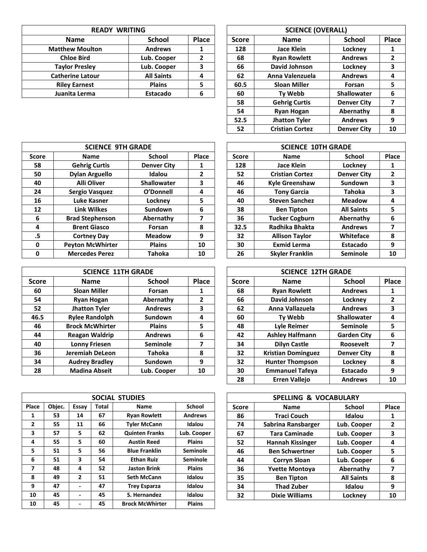|                              | <b>READY WRITING</b> |       |              |                     |                |
|------------------------------|----------------------|-------|--------------|---------------------|----------------|
| <b>School</b><br><b>Name</b> |                      | Place | <b>Score</b> | <b>Name</b>         |                |
| <b>Matthew Moulton</b>       | <b>Andrews</b>       |       | 128          | <b>Jace Klein</b>   | L)             |
| <b>Chloe Bird</b>            | Lub. Cooper          |       | 68           | <b>Ryan Rowlett</b> | A              |
| <b>Taylor Presley</b>        | Lub. Cooper          | 3     | 66           | David Johnson       | L)             |
| <b>Catherine Latour</b>      | <b>All Saints</b>    |       | 62           | Anna Valenzuela     | A <sub>l</sub> |
| <b>Riley Earnest</b>         | <b>Plains</b>        |       | 60.5         | <b>Sloan Miller</b> |                |
| Juanita Lerma                | Estacado             | 6     | 60           | <b>Tv Webb</b>      | Sha            |

| <b>READY WRITING</b>    |                   |                |              | <b>SCIENCE (OVERALL)</b> |                    |              |  |  |
|-------------------------|-------------------|----------------|--------------|--------------------------|--------------------|--------------|--|--|
| <b>Name</b>             | <b>School</b>     | Place          | <b>Score</b> | <b>Name</b>              | <b>School</b>      | Place        |  |  |
| <b>Matthew Moulton</b>  | <b>Andrews</b>    | 1              | 128          | <b>Jace Klein</b>        | Lockney            | 1            |  |  |
| <b>Chloe Bird</b>       | Lub. Cooper       | $\overline{2}$ | 68           | <b>Ryan Rowlett</b>      | <b>Andrews</b>     | $\mathbf{2}$ |  |  |
| <b>Taylor Presley</b>   | Lub. Cooper       | 3              | 66           | David Johnson            | Lockney            | 3            |  |  |
| <b>Catherine Latour</b> | <b>All Saints</b> | 4              | 62           | Anna Valenzuela          | <b>Andrews</b>     | 4            |  |  |
| <b>Riley Earnest</b>    | <b>Plains</b>     | 5              | 60.5         | <b>Sloan Miller</b>      | Forsan             | 5            |  |  |
| Juanita Lerma           | Estacado          | 6              | 60           | <b>Tv Webb</b>           | <b>Shallowater</b> | 6            |  |  |
|                         |                   |                | 58           | <b>Gehrig Curtis</b>     | <b>Denver City</b> | 7            |  |  |
|                         |                   |                | 54           | <b>Ryan Hogan</b>        | Abernathy          | 8            |  |  |
|                         |                   |                | 52.5         | <b>Jhatton Tyler</b>     | <b>Andrews</b>     | 9            |  |  |
|                         |                   |                | 52           | <b>Cristian Cortez</b>   | <b>Denver City</b> | 10           |  |  |

|              | <b>SCIENCE 9TH GRADE</b> |                    |                | <b>SCIENCE 10TH GRADE</b> |                        |                    |       |
|--------------|--------------------------|--------------------|----------------|---------------------------|------------------------|--------------------|-------|
| <b>Score</b> | <b>Name</b>              | <b>School</b>      | Place          | <b>Score</b>              | <b>Name</b>            | School             | Place |
| 58           | <b>Gehrig Curtis</b>     | <b>Denver City</b> | 1              | 128                       | Jace Klein             | Lockney            | 1     |
| 50           | <b>Dylan Arguello</b>    | Idalou             | $\overline{2}$ | 52                        | <b>Cristian Cortez</b> | <b>Denver City</b> | 2     |
| 40           | <b>Alli Oliver</b>       | <b>Shallowater</b> | 3              | 46                        | <b>Kyle Greenshaw</b>  | Sundown            | 3     |
| 24           | Sergio Vasquez           | O'Donnell          | 4              | 46                        | <b>Tony Garcia</b>     | Tahoka             | 3     |
| 16           | Luke Kasner              | Lockney            | 5              | 40                        | <b>Steven Sanchez</b>  | <b>Meadow</b>      | 4     |
| 12           | <b>Link Wilkes</b>       | Sundown            | 6              | 38                        | <b>Ben Tipton</b>      | <b>All Saints</b>  | 5     |
| 6            | <b>Brad Stephenson</b>   | Abernathy          | 7              | 36                        | <b>Tucker Cogburn</b>  | Abernathy          | 6     |
| 4            | <b>Brent Giasco</b>      | Forsan             | 8              | 32.5                      | Radhika Bhakta         | <b>Andrews</b>     |       |
| .5           | <b>Cortney Day</b>       | <b>Meadow</b>      | 9              | 32                        | <b>Allison Taylor</b>  | Whiteface          | 8     |
| 0            | <b>Peyton McWhirter</b>  | <b>Plains</b>      | 10             | 30                        | <b>Exmid Lerma</b>     | Estacado           | 9     |
| 0            | <b>Mercedes Perez</b>    | <b>Tahoka</b>      | 10             | 26                        | <b>Skyler Franklin</b> | <b>Seminole</b>    | 10    |
|              |                          |                    |                |                           |                        |                    |       |

|              | <b>SCIENCE 11TH GRADE</b> |                 |              |              | <b>SCIENCE 12TH GRADE</b> |                    |       |
|--------------|---------------------------|-----------------|--------------|--------------|---------------------------|--------------------|-------|
| <b>Score</b> | <b>Name</b>               | <b>School</b>   | <b>Place</b> | <b>Score</b> | <b>Name</b>               | <b>School</b>      | Place |
| 60           | <b>Sloan Miller</b>       | Forsan          | 1            | 68           | <b>Ryan Rowlett</b>       | <b>Andrews</b>     |       |
| 54           | <b>Ryan Hogan</b>         | Abernathy       | 2            | 66           | David Johnson             | Locknev            | 2     |
| 52           | <b>Jhatton Tyler</b>      | <b>Andrews</b>  | 3            | 62           | Anna Vallazuela           | <b>Andrews</b>     | 3     |
| 46.5         | <b>Rylee Randolph</b>     | Sundown         | 4            | 60           | Ty Webb                   | <b>Shallowater</b> | 4     |
| 46           | <b>Brock McWhirter</b>    | <b>Plains</b>   | 5            | 48           | <b>Lyle Reimer</b>        | <b>Seminole</b>    | 5     |
| 44           | <b>Reagan Waldrip</b>     | <b>Andrews</b>  | 6            | 42           | <b>Ashley Halfmann</b>    | <b>Garden City</b> | 6     |
| 40           | <b>Lonny Friesen</b>      | <b>Seminole</b> |              | 34           | <b>Dilyn Castle</b>       | <b>Roosevelt</b>   |       |
| 36           | Jeremiah DeLeon           | <b>Tahoka</b>   | 8            | 32           | <b>Kristian Dominguez</b> | <b>Denver City</b> | 8     |
| 34           | <b>Audrey Bradley</b>     | Sundown         | 9            | 32           | <b>Hunter Thompson</b>    | Lockney            | 8     |
| 28           | <b>Madina Abseit</b>      | Lub. Cooper     | 10           | 30           | <b>Emmanuel Tafeya</b>    | Estacado           | 9     |

|              |        |                          |              | SOCIAL STUDIES         |                 |              | <b>SPELLING &amp; VOCABULARY</b> |                   |       |
|--------------|--------|--------------------------|--------------|------------------------|-----------------|--------------|----------------------------------|-------------------|-------|
| Place        | Objec. | Essay                    | <b>Total</b> | Name                   | School          | <b>Score</b> | <b>Name</b>                      | <b>School</b>     | Place |
| 1            | 53     | 14                       | 67           | <b>Ryan Rowlett</b>    | <b>Andrews</b>  | 86           | <b>Traci Couch</b>               | Idalou            | 1     |
| $\mathbf{2}$ | 55     | 11                       | 66           | <b>Tyler McCann</b>    | Idalou          | 74           | Sabrina Ransbarger               | Lub. Cooper       | 2     |
| 3            | 57     | 5.                       | 62           | <b>Quinten Franks</b>  | Lub. Cooper     | 67           | <b>Tara Caminade</b>             | Lub. Cooper       | 3     |
| 4            | 55     | 5.                       | 60           | <b>Austin Reed</b>     | <b>Plains</b>   | 52           | <b>Hannah Kissinger</b>          | Lub. Cooper       | 4     |
| 5            | 51     | 5.                       | 56           | <b>Blue Franklin</b>   | <b>Seminole</b> | 46           | <b>Ben Schwertner</b>            | Lub. Cooper       | 5     |
| 6            | 51     | 3                        | 54           | <b>Ethan Ruiz</b>      | <b>Seminole</b> | 44           | <b>Corryn Sloan</b>              | Lub. Cooper       | 6     |
| 7            | 48     | 4                        | 52           | <b>Jaston Brink</b>    | <b>Plains</b>   | 36           | <b>Yvette Montova</b>            | Abernathy         | 7     |
| 8            | 49     | $\mathbf{z}$             | 51           | <b>Seth McCann</b>     | Idalou          | 35           | <b>Ben Tipton</b>                | <b>All Saints</b> | 8     |
| 9            | 47     | $\overline{\phantom{0}}$ | 47           | <b>Trey Esparza</b>    | Idalou          | 34           | <b>Thad Zuber</b>                | Idalou            | 9     |
| 10           | 45     | $\overline{\phantom{0}}$ | 45           | S. Hernandez           | Idalou          | 32           | <b>Dixie Williams</b>            | Lockney           | 10    |
| 10           | 45     | $\overline{\phantom{0}}$ | 45           | <b>Brock McWhirter</b> | <b>Plains</b>   |              |                                  |                   |       |

|              | <b>SCIENCE 10TH GRADE</b> |                    |              |
|--------------|---------------------------|--------------------|--------------|
| <b>Score</b> | <b>Name</b>               | <b>School</b>      | Place        |
| 128          | <b>Jace Klein</b>         | Lockney            | 1            |
| 52           | <b>Cristian Cortez</b>    | <b>Denver City</b> | $\mathbf{2}$ |
| 46           | <b>Kyle Greenshaw</b>     | Sundown            | 3            |
| 46           | <b>Tony Garcia</b>        | <b>Tahoka</b>      | 3            |
| 40           | <b>Steven Sanchez</b>     | <b>Meadow</b>      | 4            |
| 38           | <b>Ben Tipton</b>         | <b>All Saints</b>  | 5            |
| 36           | <b>Tucker Cogburn</b>     | Abernathy          | 6            |
| 32.5         | Radhika Bhakta            | <b>Andrews</b>     | 7            |
| 32           | <b>Allison Taylor</b>     | Whiteface          | 8            |
| 30           | <b>Exmid Lerma</b>        | Estacado           | 9            |
| 26           | <b>Skyler Franklin</b>    | Seminole           | 10           |

|              | <b>SCIENCE 12TH GRADE</b> |                    |              |
|--------------|---------------------------|--------------------|--------------|
| <b>Score</b> | <b>Name</b>               | <b>School</b>      | Place        |
| 68           | <b>Ryan Rowlett</b>       | <b>Andrews</b>     | 1            |
| 66           | <b>David Johnson</b>      | Lockney            | $\mathbf{2}$ |
| 62           | Anna Vallazuela           | <b>Andrews</b>     | 3            |
| 60           | <b>Ty Webb</b>            | Shallowater        | 4            |
| 48           | <b>Lyle Reimer</b>        | Seminole           | 5            |
| 42           | <b>Ashley Halfmann</b>    | <b>Garden City</b> | 6            |
| 34           | <b>Dilyn Castle</b>       | <b>Roosevelt</b>   | 7            |
| 32           | <b>Kristian Dominguez</b> | <b>Denver City</b> | 8            |
| 32           | <b>Hunter Thompson</b>    | Lockney            | 8            |
| 30           | <b>Emmanuel Tafeya</b>    | <b>Estacado</b>    | 9            |
| 28           | <b>Erren Vallejo</b>      | <b>Andrews</b>     | 10           |

|       | SOCIAL STUDIES        |                 |              | <b>SPELLING &amp; VOCABULARY</b> |                   |       |
|-------|-----------------------|-----------------|--------------|----------------------------------|-------------------|-------|
| Total | <b>Name</b>           | <b>School</b>   | <b>Score</b> | <b>Name</b>                      | <b>School</b>     | Place |
| 67    | <b>Ryan Rowlett</b>   | <b>Andrews</b>  | 86           | <b>Traci Couch</b>               | Idalou            | 1     |
| 66    | <b>Tyler McCann</b>   | Idalou          | 74           | Sabrina Ransbarger               | Lub. Cooper       | 2     |
| 62    | <b>Quinten Franks</b> | Lub. Cooper     | 67           | <b>Tara Caminade</b>             | Lub. Cooper       | 3     |
| 60    | <b>Austin Reed</b>    | <b>Plains</b>   | 52           | <b>Hannah Kissinger</b>          | Lub. Cooper       | 4     |
| 56    | <b>Blue Franklin</b>  | Seminole        | 46           | <b>Ben Schwertner</b>            | Lub. Cooper       | 5     |
| 54    | <b>Ethan Ruiz</b>     | <b>Seminole</b> | 44           | <b>Corryn Sloan</b>              | Lub. Cooper       | 6     |
| 52    | <b>Jaston Brink</b>   | <b>Plains</b>   | 36           | <b>Yvette Montova</b>            | Abernathy         | 7     |
| 51    | <b>Seth McCann</b>    | Idalou          | 35           | <b>Ben Tipton</b>                | <b>All Saints</b> | 8     |
| 47    | <b>Trey Esparza</b>   | Idalou          | 34           | <b>Thad Zuber</b>                | Idalou            | 9     |
| 45    | S. Hernandez          | Idalou          | 32           | <b>Dixie Williams</b>            | Locknev           | 10    |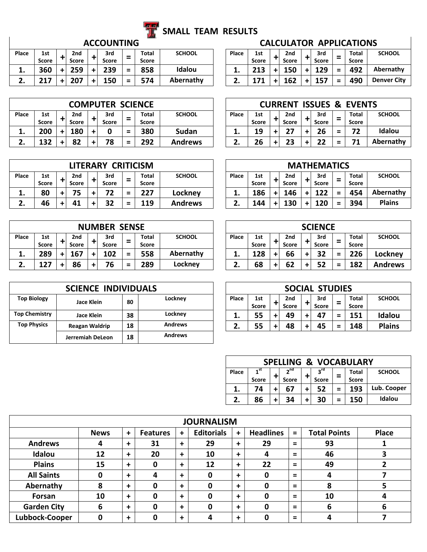

# **SMALL TEAM RESULTS**

| Place   | 1st          | 2nd   | 3rd   | $\qquad \qquad$ | Total | <b>SCHOOL</b> | Place | 1st               | 2 <sub>nd</sub> | 3rd       | - | Total | <b>SCHOOL</b>      |
|---------|--------------|-------|-------|-----------------|-------|---------------|-------|-------------------|-----------------|-----------|---|-------|--------------------|
|         | <b>Score</b> | Score | Score | -               | Score |               |       | <b>Score</b>      | <b>Score</b>    | Score     | - | Score |                    |
| . .     | 360          | 259   | 239   | =               | 858   | Idalou        | . .   | <b>313</b><br>21J | 150             | 129       | = | 492   | Abernathy          |
| <u></u> | つィフ          | 207   | 150   | $\equiv$        | 574   | Abernathy     | - 1   | .                 | 162             | .<br>TJ 1 | = | 490   | <b>Denver City</b> |

|            |                     |                          |           | <b>COMPUTER SCIENCE</b> |                               |                       |               |       |                     | <b>CURRENT</b> |                     |                          | <b>ISSUES &amp; EVENTS</b> |               |
|------------|---------------------|--------------------------|-----------|-------------------------|-------------------------------|-----------------------|---------------|-------|---------------------|----------------|---------------------|--------------------------|----------------------------|---------------|
| Place      | 1st<br><b>Score</b> | 2 <sub>nd</sub><br>Score |           | 3rd<br>Score            | $\overline{\phantom{0}}$<br>_ | <b>Total</b><br>Score | <b>SCHOOL</b> | Place | 1st<br><b>Score</b> | 2nd<br>Score   | 3rd<br><b>Score</b> | -<br>-                   | <b>Total</b><br>Score      | <b>SCHOOL</b> |
| . .        | 200                 | 180                      | $\ddot{}$ |                         | $\equiv$                      | 380                   | <b>Sudan</b>  | . .   | 19                  |                | 26                  | =                        | 72                         | Idalou        |
| <u>. .</u> | 132                 | 82                       | ÷         | 78                      | $\equiv$                      | 292                   | Andrews       |       | 26                  | 23             | 22                  | $\overline{\phantom{a}}$ |                            | Abernathy     |

|       | <b>CRITICISM</b><br>LITERARY<br>3rd<br>2nd<br>Total<br>1st<br>$\overline{\phantom{0}}$<br>-<br><b>Score</b><br><b>Score</b><br>Score<br>Score<br>75<br>227<br>80<br>$\equiv$<br>+ |  |    |   |    |   |     |                | <b>MATHEMATICS</b> |              |       |       |     |              |               |
|-------|-----------------------------------------------------------------------------------------------------------------------------------------------------------------------------------|--|----|---|----|---|-----|----------------|--------------------|--------------|-------|-------|-----|--------------|---------------|
| Place |                                                                                                                                                                                   |  |    |   |    |   |     | <b>SCHOOL</b>  | Place              | 1st          | 2nd   | 3rd   | -   | <b>Total</b> | <b>SCHOOL</b> |
|       |                                                                                                                                                                                   |  |    |   |    |   |     |                |                    | <b>Score</b> | Score | Score | -   | <b>Score</b> |               |
| . .   |                                                                                                                                                                                   |  |    |   |    |   |     | Lockney        | . .                | 186          | 146   | 122   | $=$ | 454          | Abernathy     |
|       | 46                                                                                                                                                                                |  | 41 | ÷ | 32 | = | 119 | <b>Andrews</b> |                    | 144          | 130   | 120   | =   | 394          | <b>Plains</b> |

|       | <b>NUMBER SENSE</b><br><b>Total</b><br>3rd<br>2nd<br>1st<br>-<br>-<br><b>Score</b><br>Score<br><b>Score</b><br><b>Score</b><br>558<br>167<br>289<br>102<br>$=$<br>+ |  |    |   |    |   |     |               |       |              | <b>SCIENCE</b> |              |   |              |     |       |                |
|-------|---------------------------------------------------------------------------------------------------------------------------------------------------------------------|--|----|---|----|---|-----|---------------|-------|--------------|----------------|--------------|---|--------------|-----|-------|----------------|
| Place |                                                                                                                                                                     |  |    |   |    |   |     | <b>SCHOOL</b> | Place | 1st          |                | 2nd          |   | 3rd          | -   | Total | <b>SCHOOL</b>  |
|       |                                                                                                                                                                     |  |    |   |    |   |     |               |       | <b>Score</b> | ٠              | <b>Score</b> |   | <b>Score</b> | -   | Score |                |
| ᆠ.    |                                                                                                                                                                     |  |    |   |    |   |     | Abernathy     | . .   | 128          | +              | 66           | + | 32           | $=$ | 226   | Lockney        |
| ـ.    | 127                                                                                                                                                                 |  | 86 | ٠ | 76 | Ξ | 289 | Lockney       |       | 68           | $+$            | 62           | + | 52           | =   | 182   | <b>Andrews</b> |

|                      | <b>SCIENCE INDIVIDUALS</b> |    |                |          |                     |                                 | <b>SOCIAL STUDIES</b> |        |                              |               |
|----------------------|----------------------------|----|----------------|----------|---------------------|---------------------------------|-----------------------|--------|------------------------------|---------------|
| <b>Top Biology</b>   | Jace Klein                 | 80 | Lockney        | Place    | 1st<br><b>Score</b> | 2 <sub>nd</sub><br><b>Score</b> | 3rd<br><b>Score</b>   | -      | <b>Total</b><br><b>Score</b> | <b>SCHOOL</b> |
| <b>Top Chemistry</b> | Jace Klein                 | 38 | Lockney        | ᆠ.       | 55                  | 49                              | 47                    | -<br>- | 151                          | Idalou        |
| <b>Top Physics</b>   | <b>Reagan Waldrip</b>      | 18 | <b>Andrews</b> | <u>.</u> | 55                  | 48                              | 45                    | =      | 148                          | <b>Plains</b> |
|                      | Jerremiah DeLeon           | 18 | <b>Andrews</b> |          |                     |                                 |                       |        |                              |               |

|           |                   |          | <b>College Street</b> |               |       |                     |              |                     |          |                                |                    |
|-----------|-------------------|----------|-----------------------|---------------|-------|---------------------|--------------|---------------------|----------|--------------------------------|--------------------|
|           | <b>ACCOUNTING</b> |          |                       |               |       |                     |              |                     |          | <b>CALCULATOR APPLICATIONS</b> |                    |
|           | 3rd<br>Score      | $\equiv$ | Total<br>Score        | <b>SCHOOL</b> | Place | 1st<br><b>Score</b> | 2nd<br>Score | 3rd<br><b>Score</b> |          | Total<br><b>Score</b>          | <b>SCHOOL</b>      |
| $\ddot{}$ | 239               | $\equiv$ | 858                   | Idalou        |       | 213                 | 150          | 129                 | $=$      | 492                            | Abernathy          |
| +         | 150               | =        | 574                   | Abernathy     |       |                     | 162          | 157                 | $\equiv$ | 490                            | <b>Denver City</b> |

|                     | <b>COMPUTER SCIENCE</b> |                               |                |                |              |                     |                     |                     |                          | <b>CURRENT ISSUES &amp; EVENTS</b> |               |
|---------------------|-------------------------|-------------------------------|----------------|----------------|--------------|---------------------|---------------------|---------------------|--------------------------|------------------------------------|---------------|
| 2nd<br><b>Score</b> | 3rd<br>Score            | =                             | Total<br>Score | <b>SCHOOL</b>  | <b>Place</b> | 1st<br><b>Score</b> | 2nd<br><b>Score</b> | 3rd<br><b>Score</b> |                          | Total<br><b>Score</b>              | <b>SCHOOL</b> |
| 180                 |                         | $\overline{\phantom{a}}$<br>- | 380            | Sudan          | ∸.           | 19                  | 27                  | 26                  | $\overline{\phantom{a}}$ | 72                                 | Idalou        |
| 82                  | 78                      | -                             | 292            | <b>Andrews</b> |              | 26                  | 23                  |                     |                          | 71                                 | Abernathy     |

|        | <b>MATHEMATICS</b> |       |              |     |              |          |              |       |               |  |  |  |  |  |
|--------|--------------------|-------|--------------|-----|--------------|----------|--------------|-------|---------------|--|--|--|--|--|
| SCHOOL | Place              | 1st   |              | 2nd |              | 3rd<br>- |              | Total | <b>SCHOOL</b> |  |  |  |  |  |
|        |                    | Score | <b>Score</b> |     | <b>Score</b> |          | <b>Score</b> |       |               |  |  |  |  |  |
| ockney | 1.                 | 186   |              | 146 |              | 122      | $=$          | 454   | Abernathy     |  |  |  |  |  |
| ndrews | 2.                 | 144   |              | 130 |              | 120      | $=$          | 394   | <b>Plains</b> |  |  |  |  |  |

|          | <b>SCIENCE</b> |              |  |              |  |              |     |              |                |  |  |  |  |
|----------|----------------|--------------|--|--------------|--|--------------|-----|--------------|----------------|--|--|--|--|
| SCHOOL   | Place          | 1st          |  |              |  | 3rd          | -   | Total        | <b>SCHOOL</b>  |  |  |  |  |
|          |                | <b>Score</b> |  | <b>Score</b> |  | <b>Score</b> |     | <b>Score</b> |                |  |  |  |  |
| oernathy | 1.             | 128          |  | 66           |  | 32           | $=$ | 226          | Lockney        |  |  |  |  |
| .ockney  | 2.             | 68           |  | 62           |  | 52           | $=$ | 182          | <b>Andrews</b> |  |  |  |  |

| <b>SOCIAL STUDIES</b> |              |                 |              |     |              |       |               |               |  |  |  |  |  |
|-----------------------|--------------|-----------------|--------------|-----|--------------|-------|---------------|---------------|--|--|--|--|--|
| Place                 | 1st          | 2 <sub>nd</sub> |              | 3rd | $=$          | Total | <b>SCHOOL</b> |               |  |  |  |  |  |
|                       | <b>Score</b> |                 | <b>Score</b> |     | <b>Score</b> |       | <b>Score</b>  |               |  |  |  |  |  |
| 1.                    | 55           |                 | 49           |     | 47           | $=$   | 151           | Idalou        |  |  |  |  |  |
| 2.                    | 55           |                 | 48           |     | 45           | Ξ     | 148           | <b>Plains</b> |  |  |  |  |  |

| <b>SPELLING &amp; VOCABULARY</b> |                 |  |                 |  |              |     |              |               |  |  |  |  |  |
|----------------------------------|-----------------|--|-----------------|--|--------------|-----|--------------|---------------|--|--|--|--|--|
| Place                            | 1 <sup>st</sup> |  | 2 <sup>nd</sup> |  | $2^{rd}$     |     | <b>Total</b> | <b>SCHOOL</b> |  |  |  |  |  |
|                                  | <b>Score</b>    |  | <b>Score</b>    |  | <b>Score</b> |     | <b>Score</b> |               |  |  |  |  |  |
| 1.                               | 74              |  | 67              |  | 52           | $=$ | 193          | Lub. Cooper   |  |  |  |  |  |
| 2.                               | 86              |  | 34              |  | 30           |     | 150          | Idalou        |  |  |  |  |  |

|                    | <b>JOURNALISM</b> |           |                 |             |                   |           |                  |          |                     |              |  |  |  |  |  |
|--------------------|-------------------|-----------|-----------------|-------------|-------------------|-----------|------------------|----------|---------------------|--------------|--|--|--|--|--|
|                    | <b>News</b>       | $\ddot{}$ | <b>Features</b> | $\ddot{}$   | <b>Editorials</b> | $\ddot{}$ | <b>Headlines</b> | $=$      | <b>Total Points</b> | <b>Place</b> |  |  |  |  |  |
| <b>Andrews</b>     | 4                 | $\ddot{}$ | 31              | $\ddot{}$   | 29                | $\ddot{}$ | 29               | $=$      | 93                  |              |  |  |  |  |  |
| Idalou             | 12                | $\ddot{}$ | 20              | $\ddot{}$   | 10                | $\ddot{}$ | 4                | $=$      | 46                  | 3            |  |  |  |  |  |
| <b>Plains</b>      | 15                | $\ddot{}$ | 0               | $\ddot{}$   | 12                | $\ddot{}$ | 22               | $=$      | 49                  |              |  |  |  |  |  |
| <b>All Saints</b>  | 0                 | $\ddot{}$ | 4               | $\ddot{}$   | 0                 | $\ddot{}$ | 0                | $=$      | 4                   |              |  |  |  |  |  |
| Abernathy          | 8                 | $\ddot{}$ | 0               | $\ddotmark$ | 0                 | $\ddot{}$ | 0                | $=$      | 8                   | 5            |  |  |  |  |  |
| Forsan             | 10                | $\ddot{}$ | 0               | $\ddotmark$ | 0                 | $\ddot{}$ | 0                | $\equiv$ | 10                  | 4            |  |  |  |  |  |
| <b>Garden City</b> | 6                 | $\ddot{}$ | 0               | $\ddot{}$   | 0                 | ÷         | 0                | $=$      | 6                   | 6            |  |  |  |  |  |
| Lubbock-Cooper     | 0                 | $\ddot{}$ | 0               | $\ddot{}$   | 4                 | $\ddot{}$ | 0                | $=$      | Δ                   |              |  |  |  |  |  |